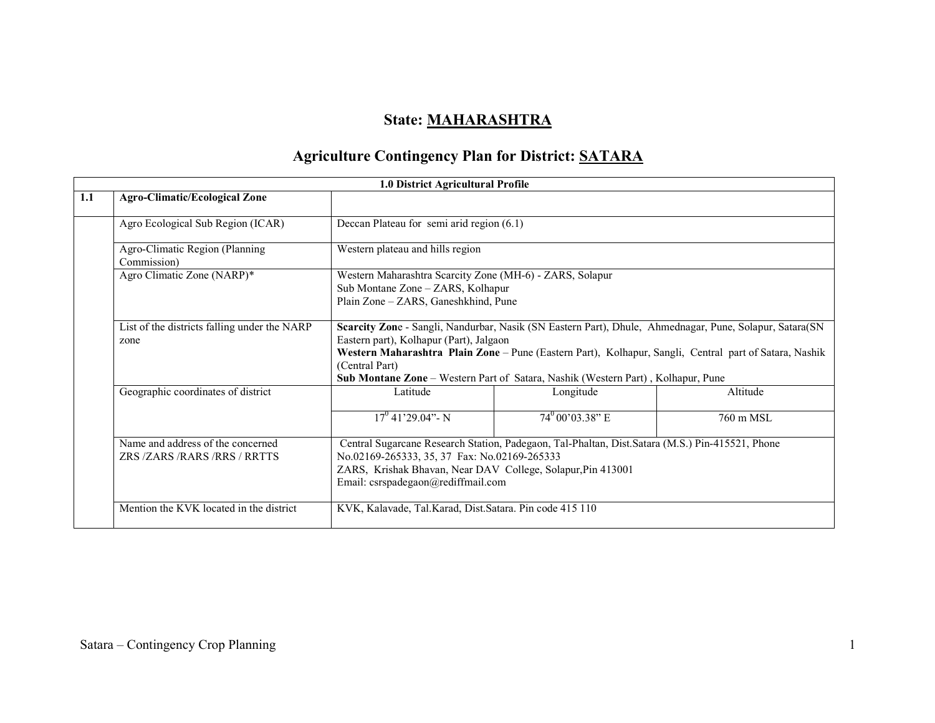## State: MAHARASHTRA

### Agriculture Contingency Plan for District: SATARA

|     |                                                              | 1.0 District Agricultural Profile                                                                                                                 |                                                                                                                                                                                                                                                                                                                                                   |           |  |  |  |
|-----|--------------------------------------------------------------|---------------------------------------------------------------------------------------------------------------------------------------------------|---------------------------------------------------------------------------------------------------------------------------------------------------------------------------------------------------------------------------------------------------------------------------------------------------------------------------------------------------|-----------|--|--|--|
| 1.1 | <b>Agro-Climatic/Ecological Zone</b>                         |                                                                                                                                                   |                                                                                                                                                                                                                                                                                                                                                   |           |  |  |  |
|     | Agro Ecological Sub Region (ICAR)                            | Deccan Plateau for semi arid region $(6.1)$                                                                                                       |                                                                                                                                                                                                                                                                                                                                                   |           |  |  |  |
|     | Agro-Climatic Region (Planning<br>Commission)                | Western plateau and hills region                                                                                                                  |                                                                                                                                                                                                                                                                                                                                                   |           |  |  |  |
|     | Agro Climatic Zone (NARP)*                                   | Western Maharashtra Scarcity Zone (MH-6) - ZARS, Solapur<br>Sub Montane Zone - ZARS, Kolhapur<br>Plain Zone - ZARS, Ganeshkhind, Pune             |                                                                                                                                                                                                                                                                                                                                                   |           |  |  |  |
|     | List of the districts falling under the NARP<br>zone         | (Central Part)                                                                                                                                    | Scarcity Zone - Sangli, Nandurbar, Nasik (SN Eastern Part), Dhule, Ahmednagar, Pune, Solapur, Satara (SN<br>Eastern part), Kolhapur (Part), Jalgaon<br>Western Maharashtra Plain Zone - Pune (Eastern Part), Kolhapur, Sangli, Central part of Satara, Nashik<br>Sub Montane Zone - Western Part of Satara, Nashik (Western Part), Kolhapur, Pune |           |  |  |  |
|     | Geographic coordinates of district                           | Latitude                                                                                                                                          | Longitude                                                                                                                                                                                                                                                                                                                                         | Altitude  |  |  |  |
|     |                                                              | $17^{\circ}$ 41'29.04" - N                                                                                                                        | $74^{\rm o}00'03.38"$ E                                                                                                                                                                                                                                                                                                                           | 760 m MSL |  |  |  |
|     | Name and address of the concerned<br>ZRS/ZARS/RARS/RRS/RRTTS | No.02169-265333, 35, 37 Fax: No.02169-265333<br>ZARS, Krishak Bhavan, Near DAV College, Solapur, Pin 413001<br>Email: csrspadegaon@rediffmail.com | Central Sugarcane Research Station, Padegaon, Tal-Phaltan, Dist.Satara (M.S.) Pin-415521, Phone                                                                                                                                                                                                                                                   |           |  |  |  |
|     | Mention the KVK located in the district                      | KVK, Kalavade, Tal.Karad, Dist.Satara. Pin code 415 110                                                                                           |                                                                                                                                                                                                                                                                                                                                                   |           |  |  |  |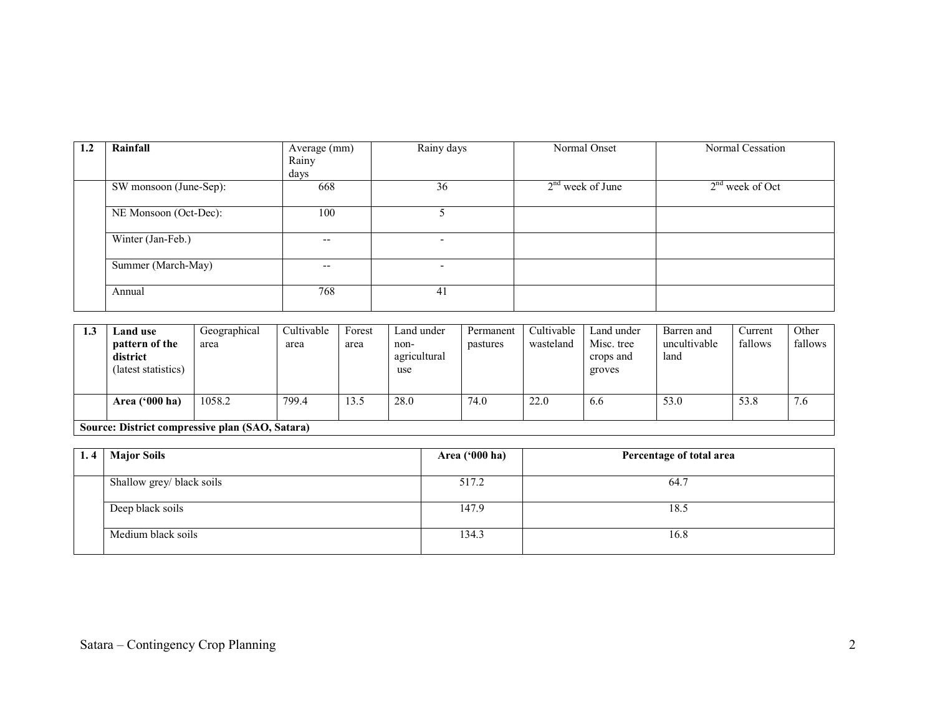| 1.2 | Rainfall               | Average (mm)<br>Rainy | Rainy days               | Normal Onset       | Normal Cessation  |
|-----|------------------------|-----------------------|--------------------------|--------------------|-------------------|
|     |                        | days                  |                          |                    |                   |
|     | SW monsoon (June-Sep): | 668                   | 36                       | $2nd$ week of June | $2nd$ week of Oct |
|     | NE Monsoon (Oct-Dec):  | 100                   |                          |                    |                   |
|     | Winter (Jan-Feb.)      | $- -$                 | $\overline{\phantom{0}}$ |                    |                   |
|     | Summer (March-May)     | $- -$                 | -                        |                    |                   |
|     | Annual                 | 768                   | 41                       |                    |                   |

| 1.3 | <b>Land use</b>                                   | Geographical | Cultivable | Forest | Land under                  | Permanent | Cultivable | Land under                        | Barren and           | Current | Other   |
|-----|---------------------------------------------------|--------------|------------|--------|-----------------------------|-----------|------------|-----------------------------------|----------------------|---------|---------|
|     | pattern of the<br>district<br>(latest statistics) | area         | area       | area   | non-<br>agricultural<br>use | pastures  | wasteland  | Misc. tree<br>crops and<br>groves | uncultivable<br>land | fallows | fallows |
|     | Area ('000 ha)                                    | 1058.2       | 799.4      | 13.5   | 28.0                        | 74.0      | 22.0       | 6.6                               | 53.0                 | 53.8    | 7.6     |
|     | Source: District compressive plan (SAO, Satara)   |              |            |        |                             |           |            |                                   |                      |         |         |

| 1.4 | <b>Major Soils</b>        | Area ('000 ha) | Percentage of total area |
|-----|---------------------------|----------------|--------------------------|
|     | Shallow grey/ black soils | 517.2          | 64.7                     |
|     | Deep black soils          | 147.9          | 18.5                     |
|     | Medium black soils        | 134.3          | 16.8                     |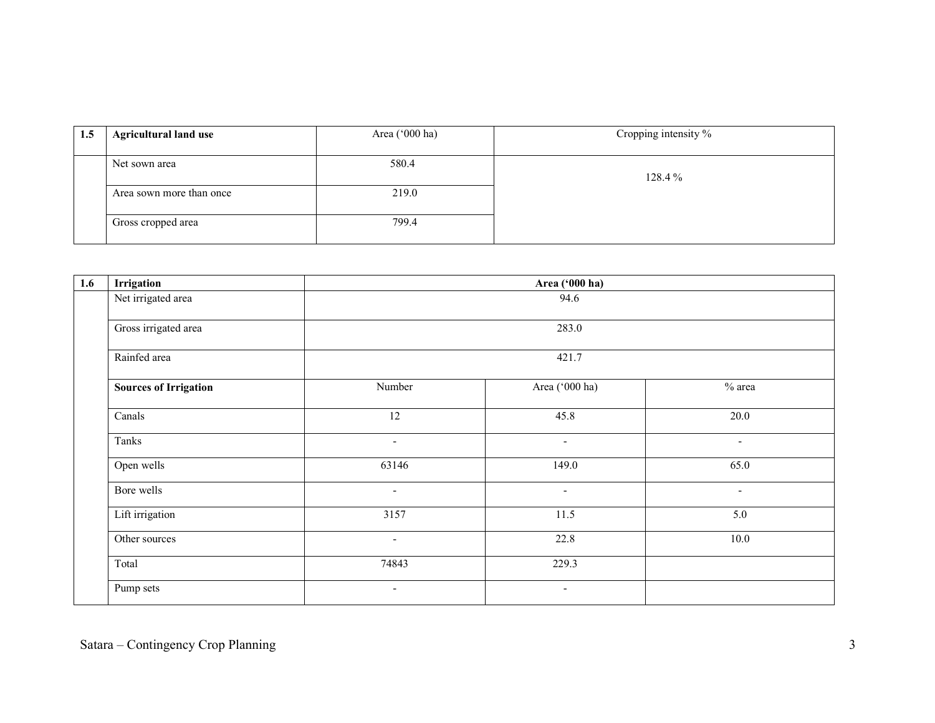| 1.5 | <b>Agricultural land use</b> | Area ('000 ha) | Cropping intensity % |
|-----|------------------------------|----------------|----------------------|
|     | Net sown area                | 580.4          |                      |
|     | Area sown more than once     | 219.0          | 128.4%               |
|     | Gross cropped area           | 799.4          |                      |

| 1.6 | Irrigation                   | Area ('000 ha)           |                          |                          |  |  |  |  |
|-----|------------------------------|--------------------------|--------------------------|--------------------------|--|--|--|--|
|     | Net irrigated area           |                          | 94.6                     |                          |  |  |  |  |
|     | Gross irrigated area         |                          | 283.0                    |                          |  |  |  |  |
|     | Rainfed area                 |                          | 421.7                    |                          |  |  |  |  |
|     | <b>Sources of Irrigation</b> | Number                   | Area ('000 ha)           | $%$ area                 |  |  |  |  |
|     | Canals                       | 12                       | 45.8                     | 20.0                     |  |  |  |  |
|     | Tanks                        | $\overline{\phantom{a}}$ | $\overline{\phantom{a}}$ | $\overline{\phantom{a}}$ |  |  |  |  |
|     | Open wells                   | 63146                    | 149.0                    | 65.0                     |  |  |  |  |
|     | Bore wells                   | $\overline{\phantom{a}}$ | $\sim$                   | $\sim$                   |  |  |  |  |
|     | Lift irrigation              | 3157                     | 11.5                     | 5.0                      |  |  |  |  |
|     | Other sources                | $\overline{\phantom{a}}$ | 22.8                     | 10.0                     |  |  |  |  |
|     | Total                        | 74843                    | 229.3                    |                          |  |  |  |  |
|     | Pump sets                    | $\overline{\phantom{a}}$ | $\sim$                   |                          |  |  |  |  |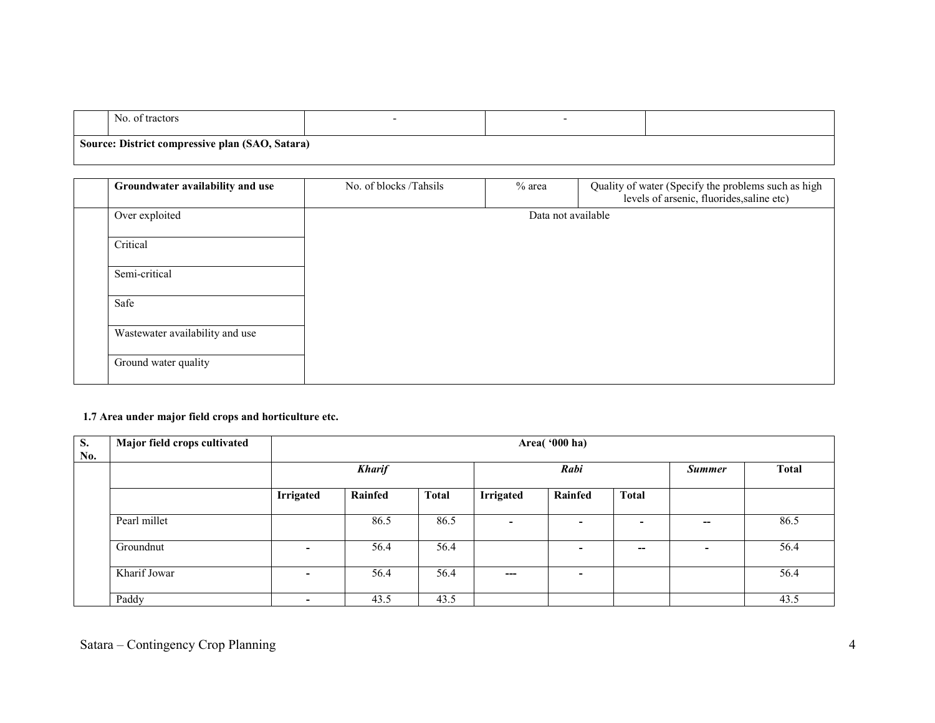| NO.<br>tractors :<br>_വ                         |  |  |
|-------------------------------------------------|--|--|
| Source: District compressive plan (SAO, Satara) |  |  |

| Groundwater availability and use | No. of blocks /Tahsils | $%$ area | Quality of water (Specify the problems such as high<br>levels of arsenic, fluorides, saline etc) |
|----------------------------------|------------------------|----------|--------------------------------------------------------------------------------------------------|
| Over exploited                   |                        |          | Data not available                                                                               |
| Critical                         |                        |          |                                                                                                  |
| Semi-critical                    |                        |          |                                                                                                  |
| Safe                             |                        |          |                                                                                                  |
| Wastewater availability and use  |                        |          |                                                                                                  |
| Ground water quality             |                        |          |                                                                                                  |

#### 1.7 Area under major field crops and horticulture etc.

| S.<br>No. | Major field crops cultivated | Area('000 ha)            |                       |              |                  |         |                          |                          |              |  |
|-----------|------------------------------|--------------------------|-----------------------|--------------|------------------|---------|--------------------------|--------------------------|--------------|--|
|           |                              |                          | Rabi<br><b>Kharif</b> |              |                  |         |                          | <b>Summer</b>            | <b>Total</b> |  |
|           |                              | <b>Irrigated</b>         | Rainfed               | <b>Total</b> | <b>Irrigated</b> | Rainfed | <b>Total</b>             |                          |              |  |
|           | Pearl millet                 |                          | 86.5                  | 86.5         | $\sim$           |         | $\overline{\phantom{0}}$ | --                       | 86.5         |  |
|           | Groundnut                    | $\overline{\phantom{0}}$ | 56.4                  | 56.4         |                  |         | $\overline{\phantom{a}}$ | $\overline{\phantom{0}}$ | 56.4         |  |
|           | Kharif Jowar                 | $\overline{\phantom{0}}$ | 56.4                  | 56.4         | $---$            | -       |                          |                          | 56.4         |  |
|           | Paddy                        | ٠                        | 43.5                  | 43.5         |                  |         |                          |                          | 43.5         |  |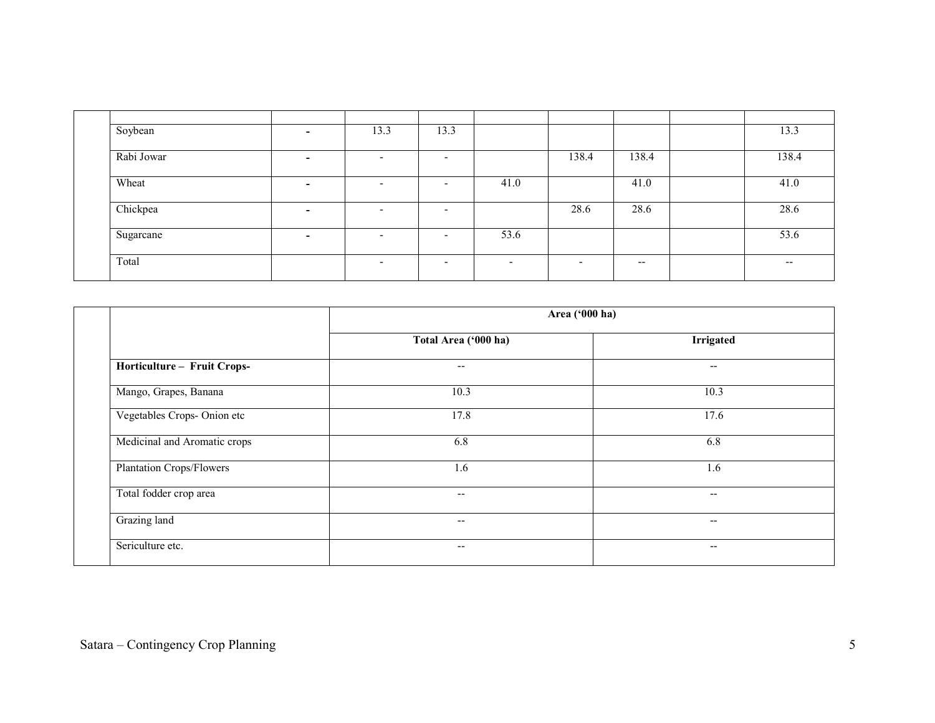| Soybean    | $\overline{\phantom{0}}$ | 13.3                     | 13.3                     |                          |                          |       | 13.3  |
|------------|--------------------------|--------------------------|--------------------------|--------------------------|--------------------------|-------|-------|
| Rabi Jowar | -                        | $\overline{\phantom{0}}$ | $\overline{\phantom{0}}$ |                          | 138.4                    | 138.4 | 138.4 |
| Wheat      | $\overline{\phantom{0}}$ | $\overline{\phantom{0}}$ | $\overline{\phantom{0}}$ | 41.0                     |                          | 41.0  | 41.0  |
| Chickpea   | -                        | $\overline{\phantom{0}}$ | $\overline{\phantom{0}}$ |                          | 28.6                     | 28.6  | 28.6  |
| Sugarcane  | -                        | $\overline{\phantom{0}}$ | $\overline{\phantom{0}}$ | 53.6                     |                          |       | 53.6  |
| Total      |                          | $\overline{\phantom{0}}$ | $\overline{\phantom{a}}$ | $\overline{\phantom{0}}$ | $\overline{\phantom{0}}$ | $- -$ | $- -$ |

| Area ('000 ha)           |                          |
|--------------------------|--------------------------|
| Total Area ('000 ha)     | <b>Irrigated</b>         |
| $- -$                    | $\overline{\phantom{a}}$ |
| 10.3                     | 10.3                     |
| 17.8                     | 17.6                     |
| 6.8                      | 6.8                      |
| 1.6                      | 1.6                      |
| $\overline{\phantom{m}}$ | $\overline{\phantom{m}}$ |
| $- -$                    | $\overline{\phantom{a}}$ |
| $- -$                    | $\overline{\phantom{m}}$ |
|                          |                          |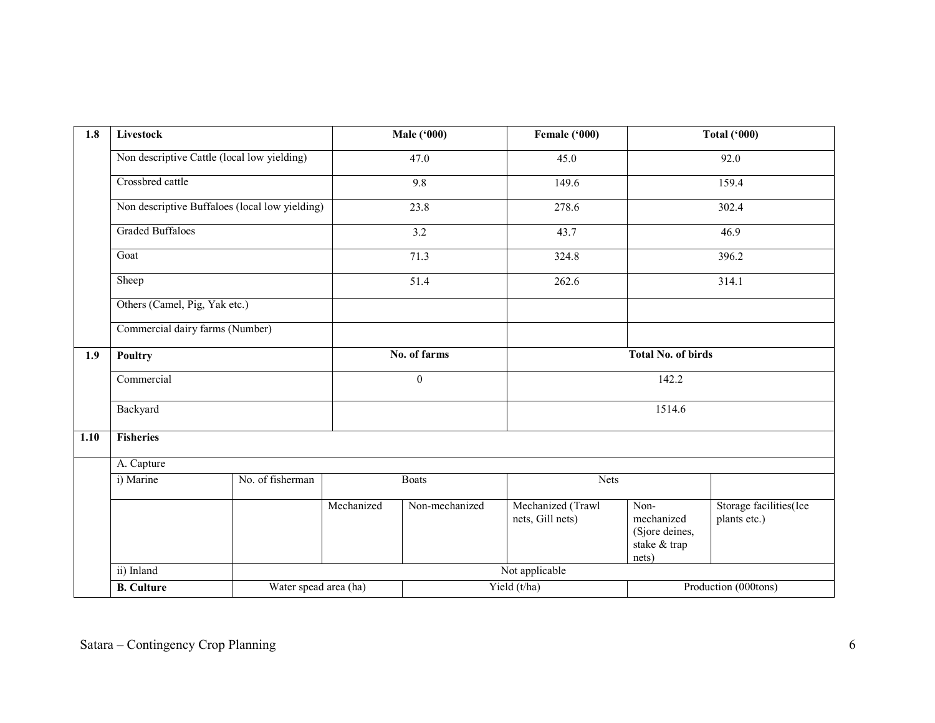| 1.8  | Livestock                                                                         |                                                |                  | <b>Male</b> ('000) | Female ('000)                         |                                                               | <b>Total ('000)</b>                    |  |       |
|------|-----------------------------------------------------------------------------------|------------------------------------------------|------------------|--------------------|---------------------------------------|---------------------------------------------------------------|----------------------------------------|--|-------|
|      |                                                                                   | Non descriptive Cattle (local low yielding)    |                  | 47.0               | 45.0                                  |                                                               | 92.0                                   |  |       |
|      | Crossbred cattle                                                                  |                                                |                  | 9.8                | 149.6                                 |                                                               | 159.4                                  |  |       |
|      |                                                                                   | Non descriptive Buffaloes (local low yielding) | 23.8             |                    | 278.6                                 |                                                               | 302.4                                  |  |       |
|      | <b>Graded Buffaloes</b>                                                           |                                                |                  | 3.2                | 43.7                                  |                                                               | 46.9                                   |  |       |
|      | Goat<br>Sheep<br>Others (Camel, Pig, Yak etc.)<br>Commercial dairy farms (Number) |                                                |                  |                    |                                       |                                                               | 71.3<br>324.8                          |  | 396.2 |
|      |                                                                                   |                                                |                  | 51.4               | 262.6                                 |                                                               | 314.1                                  |  |       |
|      |                                                                                   |                                                |                  |                    |                                       |                                                               |                                        |  |       |
|      |                                                                                   |                                                |                  |                    |                                       |                                                               |                                        |  |       |
| 1.9  | Poultry                                                                           |                                                |                  | No. of farms       | <b>Total No. of birds</b>             |                                                               |                                        |  |       |
|      | Commercial                                                                        |                                                | $\boldsymbol{0}$ |                    | 142.2                                 |                                                               |                                        |  |       |
|      | Backyard                                                                          |                                                |                  |                    | 1514.6                                |                                                               |                                        |  |       |
| 1.10 | <b>Fisheries</b>                                                                  |                                                |                  |                    |                                       |                                                               |                                        |  |       |
|      | A. Capture                                                                        |                                                |                  |                    |                                       |                                                               |                                        |  |       |
|      | i) Marine                                                                         | No. of fisherman                               |                  | <b>Boats</b>       | <b>Nets</b>                           |                                                               |                                        |  |       |
|      |                                                                                   |                                                | Mechanized       | Non-mechanized     | Mechanized (Trawl<br>nets, Gill nets) | Non-<br>mechanized<br>(Sjore deines,<br>stake & trap<br>nets) | Storage facilities(Ice<br>plants etc.) |  |       |
|      | ii) Inland                                                                        |                                                |                  |                    | Not applicable                        |                                                               |                                        |  |       |
|      | <b>B.</b> Culture                                                                 | Water spead area (ha)                          |                  |                    | Yield (t/ha)                          |                                                               | Production (000tons)                   |  |       |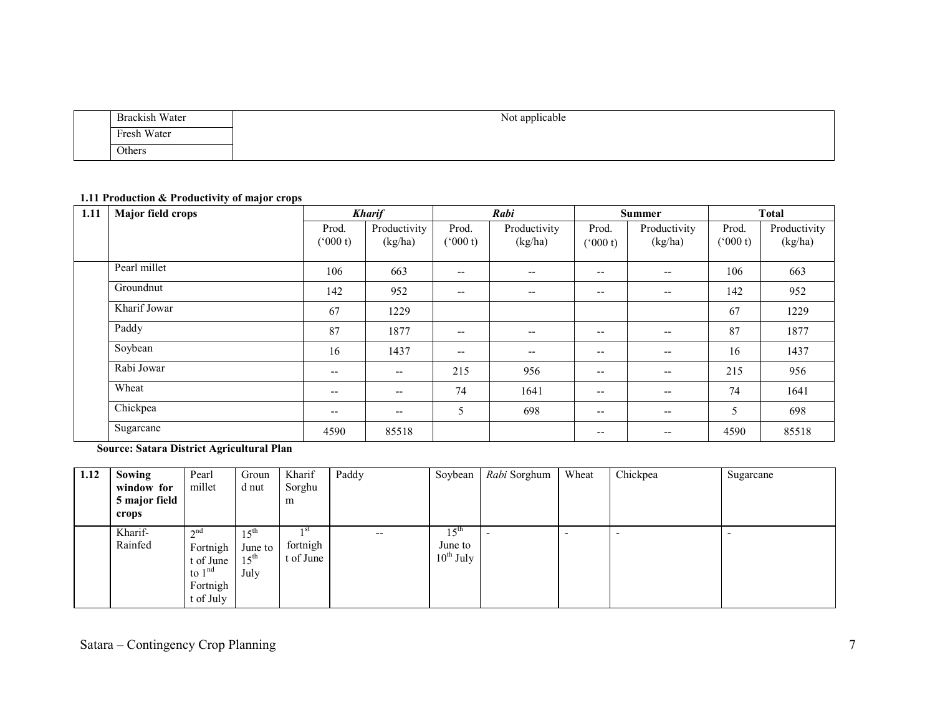| Brackish Water | $\cdots$<br>$\mathbf{v}$<br>Not applicable |
|----------------|--------------------------------------------|
| Fresh Water    |                                            |
| Others         |                                            |

#### 1.11 Production & Productivity of major crops

| 1.11 | Major field crops |                          | <b>Kharif</b>            | Rabi             |                                       | <b>Summer</b>    |                          | <b>Total</b>     |                         |
|------|-------------------|--------------------------|--------------------------|------------------|---------------------------------------|------------------|--------------------------|------------------|-------------------------|
|      |                   | Prod.<br>(000 t)         | Productivity<br>(kg/ha)  | Prod.<br>(000 t) | Productivity<br>(kg/ha)               | Prod.<br>(000 t) | Productivity<br>(kg/ha)  | Prod.<br>(000 t) | Productivity<br>(kg/ha) |
|      | Pearl millet      | 106                      | 663                      | --               | $\overline{\phantom{m}}$              | $- -$            | $\qquad \qquad -$        | 106              | 663                     |
|      | Groundnut         | 142                      | 952                      | --               | $\overline{\phantom{a}}$              | $- -$            | $\qquad \qquad -$        | 142              | 952                     |
|      | Kharif Jowar      | 67                       | 1229                     |                  |                                       |                  |                          | 67               | 1229                    |
|      | Paddy             | 87                       | 1877                     | --               | $\hspace{0.05cm}$ – $\hspace{0.05cm}$ | $- -$            | $\overline{\phantom{a}}$ | 87               | 1877                    |
|      | Soybean           | 16                       | 1437                     | $- -$            | $\overline{\phantom{m}}$              | $- -$            | $\qquad \qquad -$        | 16               | 1437                    |
|      | Rabi Jowar        | $\overline{\phantom{m}}$ | $\overline{\phantom{m}}$ | 215              | 956                                   | $- -$            | $\qquad \qquad -$        | 215              | 956                     |
|      | Wheat             | $- -$                    | --                       | 74               | 1641                                  | $- -$            | $\qquad \qquad -$        | 74               | 1641                    |
|      | Chickpea          | $\overline{\phantom{m}}$ | $\overline{\phantom{m}}$ | 5                | 698                                   | $- -$            | $- -$                    | 5                | 698                     |
|      | Sugarcane         | 4590                     | 85518                    |                  |                                       | $- -$            | $\overline{\phantom{m}}$ | 4590             | 85518                   |

Source: Satara District Agricultural Plan

| 1.12 | Sowing             | Pearl                                                                     | Groun                                                   | Kharif                        | Paddy                    | Soybean                                       | Rabi Sorghum | Wheat | Chickpea | Sugarcane |
|------|--------------------|---------------------------------------------------------------------------|---------------------------------------------------------|-------------------------------|--------------------------|-----------------------------------------------|--------------|-------|----------|-----------|
|      | window for         | millet                                                                    | d nut                                                   | Sorghu                        |                          |                                               |              |       |          |           |
|      | 5 major field      |                                                                           |                                                         | m                             |                          |                                               |              |       |          |           |
|      | crops              |                                                                           |                                                         |                               |                          |                                               |              |       |          |           |
|      | Kharif-<br>Rainfed | $\gamma$ nd<br>Fortnigh<br>t of June<br>to $1nd$<br>Fortnigh<br>t of July | 15 <sup>th</sup><br>June to<br>15 <sup>th</sup><br>July | 1 St<br>fortnigh<br>t of June | $\overline{\phantom{m}}$ | $15^{\text{th}}$<br>June to<br>$10^{th}$ July |              |       |          |           |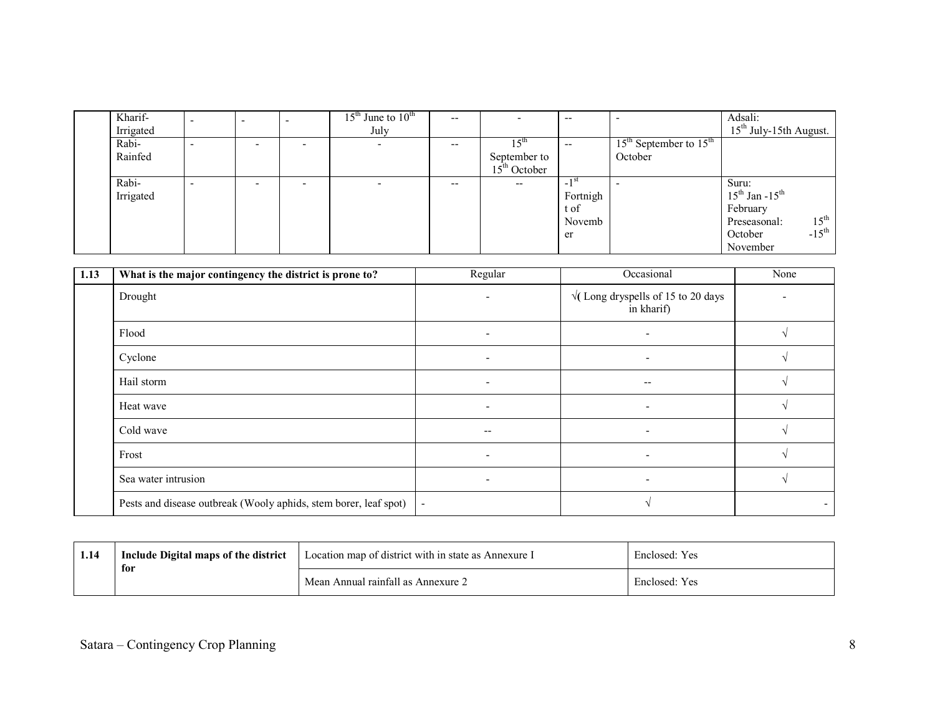| Kharif-   | $\overline{\phantom{0}}$ | $\overline{\phantom{a}}$ |                          | $15th$ June to $10th$ | $- -$ |                          | $-$                |                            | Adsali:                          |
|-----------|--------------------------|--------------------------|--------------------------|-----------------------|-------|--------------------------|--------------------|----------------------------|----------------------------------|
| Irrigated |                          |                          |                          | July                  |       |                          |                    |                            | $15th$ July-15th August.         |
| Rabi-     | $\overline{\phantom{a}}$ |                          | - -                      |                       | $- -$ | 5 <sup>th</sup>          | $-$                | $15th$ September to $15th$ |                                  |
| Rainfed   |                          |                          |                          |                       |       | September to             |                    | October                    |                                  |
|           |                          |                          |                          |                       |       | $15th$ October           |                    |                            |                                  |
| Rabi-     | $\overline{\phantom{a}}$ |                          | $\overline{\phantom{0}}$ |                       | $- -$ | $\overline{\phantom{m}}$ | $-1$ <sup>SI</sup> |                            | Suru:                            |
| Irrigated |                          |                          |                          |                       |       |                          | Fortnigh           |                            | $15^{th}$ Jan - $15^{th}$        |
|           |                          |                          |                          |                       |       |                          | t of               |                            | February                         |
|           |                          |                          |                          |                       |       |                          | Novemb             |                            | $15^{\text{th}}$<br>Preseasonal: |
|           |                          |                          |                          |                       |       |                          | er                 |                            | $-15^{\text{th}}$<br>October     |
|           |                          |                          |                          |                       |       |                          |                    |                            | November                         |

| 1.13 | What is the major contingency the district is prone to?          | Regular                  | Occasional                                               | None |
|------|------------------------------------------------------------------|--------------------------|----------------------------------------------------------|------|
|      | Drought                                                          | $\overline{\phantom{0}}$ | $\sqrt{(}$ Long dryspells of 15 to 20 days<br>in kharif) |      |
|      | Flood                                                            | $\overline{\phantom{0}}$ | $\overline{\phantom{0}}$                                 |      |
|      | Cyclone                                                          | ۰                        | $\overline{\phantom{a}}$                                 |      |
|      | Hail storm                                                       | -                        | --                                                       |      |
|      | Heat wave                                                        | ٠                        | $\overline{\phantom{a}}$                                 |      |
|      | Cold wave                                                        | $\overline{\phantom{a}}$ | $\overline{\phantom{a}}$                                 |      |
|      | Frost                                                            | $\overline{\phantom{0}}$ | $\overline{\phantom{a}}$                                 |      |
|      | Sea water intrusion                                              | ۰                        | $\blacksquare$                                           |      |
|      | Pests and disease outbreak (Wooly aphids, stem borer, leaf spot) | $\blacksquare$           |                                                          |      |

| 1.14 | Include Digital maps of the district<br>for | Location map of district with in state as Annexure I | Enclosed: Yes |
|------|---------------------------------------------|------------------------------------------------------|---------------|
|      |                                             | Mean Annual rainfall as Annexure 2                   | Enclosed: Yes |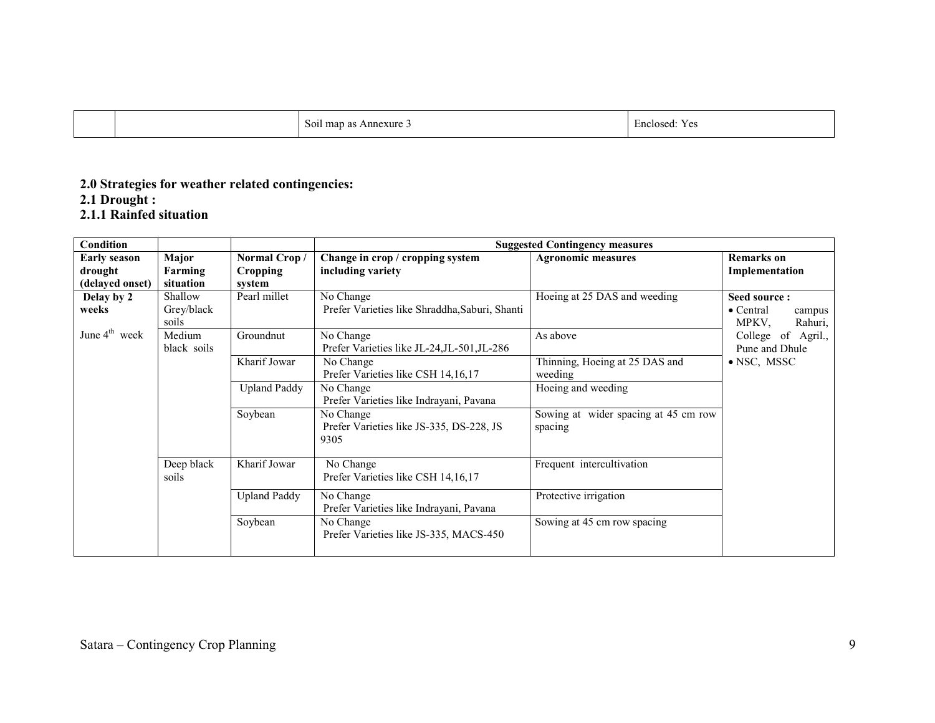| $\sim$<br>l map as Annexure.<br>$S_{01}$ | <sup>1.</sup> Yes<br>Enclosed: |
|------------------------------------------|--------------------------------|
|------------------------------------------|--------------------------------|

# 2.0 Strategies for weather related contingencies: 2.1 Drought :

2.1.1 Rainfed situation

| Condition                                         |                                |                                           | <b>Suggested Contingency measures</b>                         |                                                 |                                                                 |  |  |  |
|---------------------------------------------------|--------------------------------|-------------------------------------------|---------------------------------------------------------------|-------------------------------------------------|-----------------------------------------------------------------|--|--|--|
| <b>Early season</b><br>drought<br>(delayed onset) | Major<br>Farming<br>situation  | Normal Crop/<br><b>Cropping</b><br>system | Change in crop / cropping system<br>including variety         | <b>Agronomic measures</b>                       | <b>Remarks</b> on<br>Implementation                             |  |  |  |
| Delay by 2<br>weeks                               | Shallow<br>Grey/black<br>soils | Pearl millet                              | No Change<br>Prefer Varieties like Shraddha, Saburi, Shanti   | Hoeing at 25 DAS and weeding                    | Seed source:<br>$\bullet$ Central<br>campus<br>MPKV.<br>Rahuri, |  |  |  |
| June $4^{\text{th}}$ week                         | Medium<br>black soils          | Groundnut                                 | No Change<br>Prefer Varieties like JL-24, JL-501, JL-286      | As above                                        | College of Agril.,<br>Pune and Dhule                            |  |  |  |
|                                                   |                                | Kharif Jowar                              | No Change<br>Prefer Varieties like CSH 14, 16, 17             | Thinning, Hoeing at 25 DAS and<br>weeding       | $\bullet$ NSC, MSSC                                             |  |  |  |
|                                                   |                                | <b>Upland Paddy</b>                       | No Change<br>Prefer Varieties like Indrayani, Pavana          | Hoeing and weeding                              |                                                                 |  |  |  |
|                                                   |                                | Soybean                                   | No Change<br>Prefer Varieties like JS-335, DS-228, JS<br>9305 | Sowing at wider spacing at 45 cm row<br>spacing |                                                                 |  |  |  |
|                                                   | Deep black<br>soils            | Kharif Jowar                              | No Change<br>Prefer Varieties like CSH 14, 16, 17             | Frequent intercultivation                       |                                                                 |  |  |  |
|                                                   |                                | <b>Upland Paddy</b>                       | No Change<br>Prefer Varieties like Indrayani, Pavana          | Protective irrigation                           |                                                                 |  |  |  |
|                                                   |                                | Soybean                                   | No Change<br>Prefer Varieties like JS-335, MACS-450           | Sowing at 45 cm row spacing                     |                                                                 |  |  |  |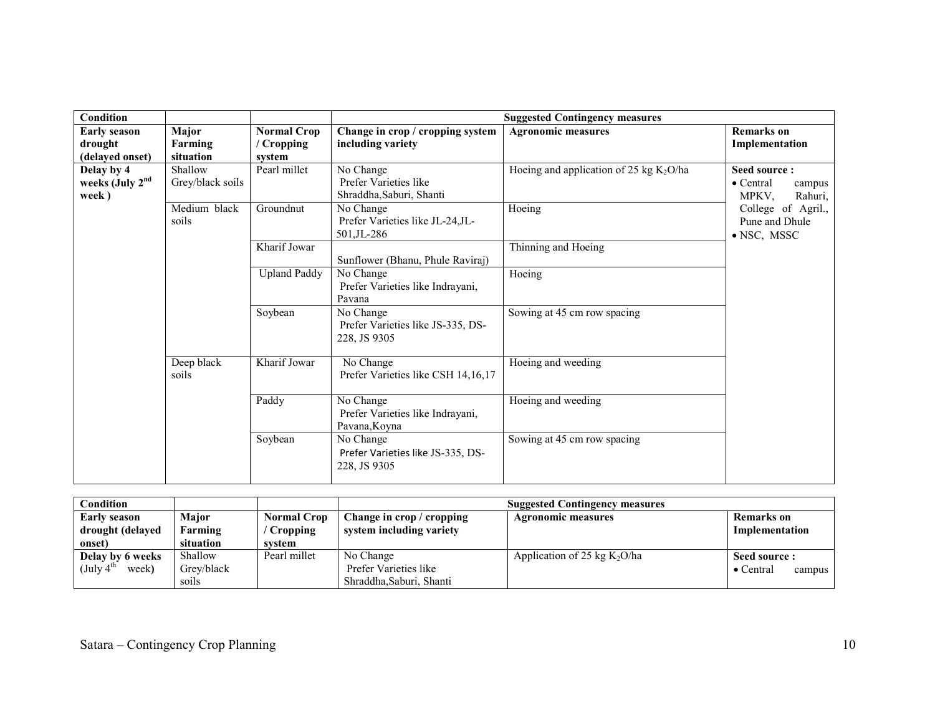| <b>Condition</b>            |                  |                     |                                    | <b>Suggested Contingency measures</b>     |                             |
|-----------------------------|------------------|---------------------|------------------------------------|-------------------------------------------|-----------------------------|
| <b>Early season</b>         | Major            | <b>Normal Crop</b>  | Change in crop / cropping system   | <b>Agronomic measures</b>                 | <b>Remarks</b> on           |
| drought                     | Farming          | / Cropping          | including variety                  |                                           | Implementation              |
| (delayed onset)             | situation        | system              |                                    |                                           |                             |
| Delay by 4                  | Shallow          | Pearl millet        | No Change                          | Hoeing and application of 25 kg $K_2O/ha$ | Seed source:                |
| weeks (July 2 <sup>nd</sup> | Grey/black soils |                     | Prefer Varieties like              |                                           | $\bullet$ Central<br>campus |
| week)                       |                  |                     | Shraddha, Saburi, Shanti           |                                           | MPKV,<br>Rahuri,            |
|                             | Medium black     | Groundnut           | No Change                          | Hoeing                                    | College of Agril.,          |
|                             | soils            |                     | Prefer Varieties like JL-24, JL-   |                                           | Pune and Dhule              |
|                             |                  |                     | 501, JL-286                        |                                           | $\bullet$ NSC, MSSC         |
|                             |                  | Kharif Jowar        |                                    | Thinning and Hoeing                       |                             |
|                             |                  |                     | Sunflower (Bhanu, Phule Raviraj)   |                                           |                             |
|                             |                  | <b>Upland Paddy</b> | No Change                          | Hoeing                                    |                             |
|                             |                  |                     | Prefer Varieties like Indrayani,   |                                           |                             |
|                             |                  |                     | Pavana                             |                                           |                             |
|                             |                  | Soybean             | No Change                          | Sowing at 45 cm row spacing               |                             |
|                             |                  |                     | Prefer Varieties like JS-335, DS-  |                                           |                             |
|                             |                  |                     | 228, JS 9305                       |                                           |                             |
|                             |                  |                     |                                    |                                           |                             |
|                             | Deep black       | Kharif Jowar        | No Change                          | Hoeing and weeding                        |                             |
|                             | soils            |                     | Prefer Varieties like CSH 14,16,17 |                                           |                             |
|                             |                  | Paddy               | No Change                          | Hoeing and weeding                        |                             |
|                             |                  |                     | Prefer Varieties like Indrayani,   |                                           |                             |
|                             |                  |                     | Pavana, Koyna                      |                                           |                             |
|                             |                  | Soybean             | No Change                          | Sowing at 45 cm row spacing               |                             |
|                             |                  |                     | Prefer Varieties like JS-335, DS-  |                                           |                             |
|                             |                  |                     | 228, JS 9305                       |                                           |                             |
|                             |                  |                     |                                    |                                           |                             |

| Condition                       |            |                    |                           | <b>Suggested Contingency measures</b> |                             |
|---------------------------------|------------|--------------------|---------------------------|---------------------------------------|-----------------------------|
| Early season                    | Major      | <b>Normal Crop</b> | Change in crop / cropping | <b>Agronomic measures</b>             | Remarks on                  |
| drought (delayed                | Farming    | / Cropping         | system including variety  |                                       | Implementation              |
| onset)                          | situation  | svstem             |                           |                                       |                             |
| Delay by 6 weeks                | Shallow    | Pearl millet       | No Change                 | Application of 25 kg $K_2O/ha$        | Seed source :               |
| week)<br>(July $4^{\text{m}}$ ) | Grev/black |                    | Prefer Varieties like     |                                       | $\bullet$ Central<br>campus |
|                                 | soils      |                    | Shraddha, Saburi, Shanti  |                                       |                             |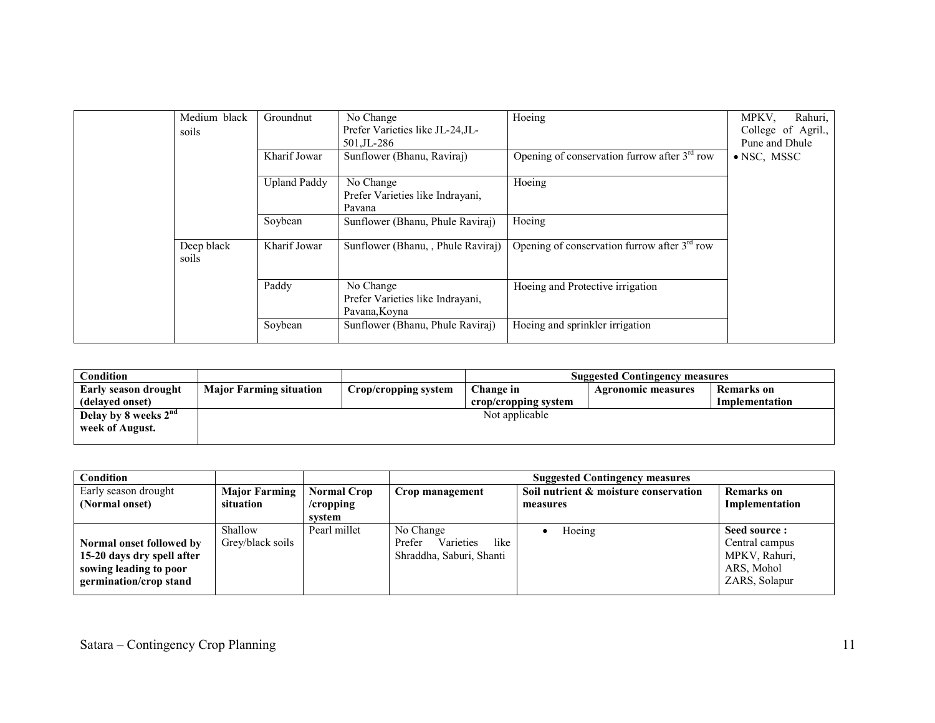| Medium black<br>soils | Groundnut<br>Kharif Jowar | No Change<br>Prefer Varieties like JL-24, JL-<br>501.JL-286<br>Sunflower (Bhanu, Raviraj) | Hoeing<br>Opening of conservation furrow after $3rd$ row | Rahuri,<br>MPKV,<br>College of Agril.,<br>Pune and Dhule<br>• NSC, MSSC |
|-----------------------|---------------------------|-------------------------------------------------------------------------------------------|----------------------------------------------------------|-------------------------------------------------------------------------|
|                       | <b>Upland Paddy</b>       | No Change<br>Prefer Varieties like Indrayani,<br>Pavana                                   | Hoeing                                                   |                                                                         |
|                       | Soybean                   | Sunflower (Bhanu, Phule Raviraj)                                                          | Hoeing                                                   |                                                                         |
| Deep black<br>soils   | Kharif Jowar              | Sunflower (Bhanu, , Phule Raviraj)                                                        | Opening of conservation furrow after $3rd$ row           |                                                                         |
|                       | Paddy                     | No Change<br>Prefer Varieties like Indrayani,<br>Pavana, Koyna                            | Hoeing and Protective irrigation                         |                                                                         |
|                       | Soybean                   | Sunflower (Bhanu, Phule Raviraj)                                                          | Hoeing and sprinkler irrigation                          |                                                                         |

| Condition                        |                                |                      | <b>Suggested Contingency measures</b> |                           |                   |  |  |
|----------------------------------|--------------------------------|----------------------|---------------------------------------|---------------------------|-------------------|--|--|
| Early season drought             | <b>Major Farming situation</b> | Crop/cropping system | Change in                             | <b>Agronomic measures</b> | <b>Remarks</b> on |  |  |
| (delayed onset)                  |                                |                      | crop/cropping system                  |                           | Implementation    |  |  |
| Delay by 8 weeks 2 <sup>nd</sup> |                                |                      | Not applicable                        |                           |                   |  |  |
| week of August.                  |                                |                      |                                       |                           |                   |  |  |
|                                  |                                |                      |                                       |                           |                   |  |  |

| Condition                  |                      |                    | <b>Suggested Contingency measures</b> |                                       |                   |  |
|----------------------------|----------------------|--------------------|---------------------------------------|---------------------------------------|-------------------|--|
| Early season drought       | <b>Major Farming</b> | <b>Normal Crop</b> | Crop management                       | Soil nutrient & moisture conservation | <b>Remarks</b> on |  |
| (Normal onset)             | situation            | $/$ cropping       |                                       | measures                              | Implementation    |  |
|                            |                      | svstem             |                                       |                                       |                   |  |
|                            | Shallow              | Pearl millet       | No Change                             | Hoeing                                | Seed source:      |  |
| Normal onset followed by   | Grey/black soils     |                    | Varieties<br>like<br>Prefer           |                                       | Central campus    |  |
| 15-20 days dry spell after |                      |                    | Shraddha, Saburi, Shanti              |                                       | MPKV, Rahuri,     |  |
| sowing leading to poor     |                      |                    |                                       |                                       | ARS, Mohol        |  |
| germination/crop stand     |                      |                    |                                       |                                       | ZARS, Solapur     |  |
|                            |                      |                    |                                       |                                       |                   |  |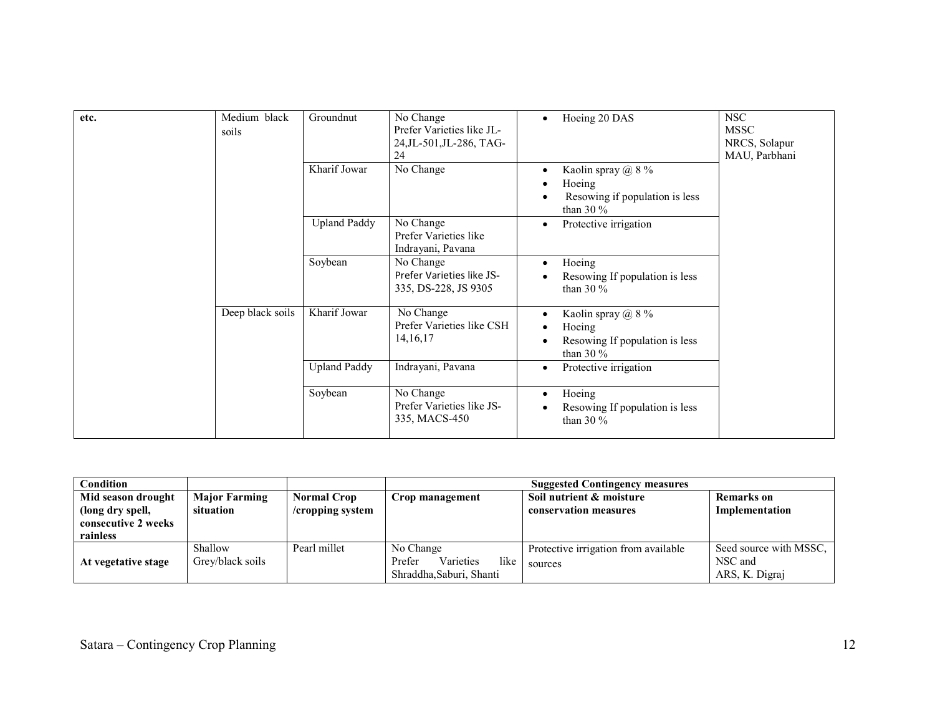| etc. | Medium black<br>soils | Groundnut           | No Change<br>Prefer Varieties like JL-<br>24, JL-501, JL-286, TAG-<br>24 | Hoeing 20 DAS<br>$\bullet$                                                                 | <b>NSC</b><br><b>MSSC</b><br>NRCS, Solapur<br>MAU, Parbhani |
|------|-----------------------|---------------------|--------------------------------------------------------------------------|--------------------------------------------------------------------------------------------|-------------------------------------------------------------|
|      |                       | Kharif Jowar        | No Change                                                                | Kaolin spray $\omega$ 8 %<br>٠<br>Hoeing<br>Resowing if population is less<br>than 30 $\%$ |                                                             |
|      |                       | <b>Upland Paddy</b> | No Change<br>Prefer Varieties like<br>Indrayani, Pavana                  | Protective irrigation<br>٠                                                                 |                                                             |
|      |                       | Soybean             | No Change<br>Prefer Varieties like JS-<br>335, DS-228, JS 9305           | Hoeing<br>$\bullet$<br>Resowing If population is less<br>than 30 $\%$                      |                                                             |
|      | Deep black soils      | Kharif Jowar        | No Change<br>Prefer Varieties like CSH<br>14, 16, 17                     | Kaolin spray $\omega$ 8 %<br>٠<br>Hoeing<br>Resowing If population is less<br>than 30 $\%$ |                                                             |
|      |                       | <b>Upland Paddy</b> | Indrayani, Pavana                                                        | Protective irrigation<br>٠                                                                 |                                                             |
|      |                       | Soybean             | No Change<br>Prefer Varieties like JS-<br>335, MACS-450                  | Hoeing<br>٠<br>Resowing If population is less<br>than 30 $\%$                              |                                                             |

| Condition                                                                 |                                   |                                           | <b>Suggested Contingency measures</b>                                |                                                   |                                                     |  |
|---------------------------------------------------------------------------|-----------------------------------|-------------------------------------------|----------------------------------------------------------------------|---------------------------------------------------|-----------------------------------------------------|--|
| Mid season drought<br>(long dry spell,<br>consecutive 2 weeks<br>rainless | <b>Major Farming</b><br>situation | <b>Normal Crop</b><br>$/$ cropping system | Crop management                                                      | Soil nutrient & moisture<br>conservation measures | <b>Remarks</b> on<br>Implementation                 |  |
| At vegetative stage                                                       | Shallow<br>Grey/black soils       | Pearl millet                              | No Change<br>Varieties<br>Prefer<br>like<br>Shraddha, Saburi, Shanti | Protective irrigation from available<br>sources   | Seed source with MSSC.<br>NSC and<br>ARS, K. Digraj |  |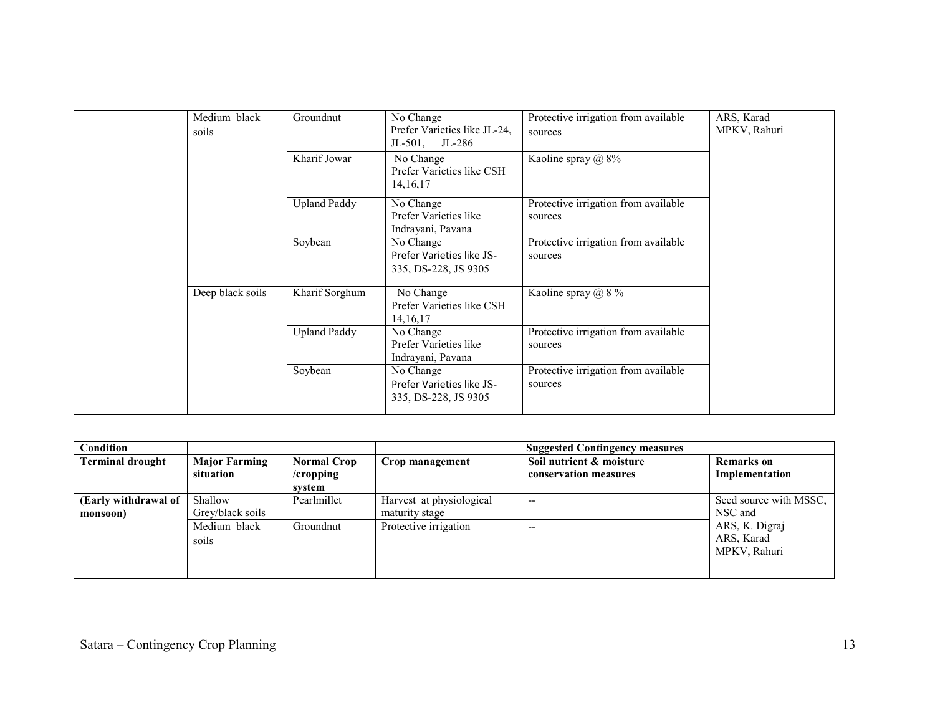| Medium black<br>soils | Groundnut           | No Change<br>Prefer Varieties like JL-24,<br>$JL-501$ ,<br>JL-286 | Protective irrigation from available<br>sources | ARS, Karad<br>MPKV, Rahuri |
|-----------------------|---------------------|-------------------------------------------------------------------|-------------------------------------------------|----------------------------|
|                       | Kharif Jowar        | No Change<br>Prefer Varieties like CSH<br>14, 16, 17              | Kaoline spray $(a)$ 8%                          |                            |
|                       | <b>Upland Paddy</b> | No Change<br>Prefer Varieties like<br>Indrayani, Pavana           | Protective irrigation from available<br>sources |                            |
|                       | Soybean             | No Change<br>Prefer Varieties like JS-<br>335, DS-228, JS 9305    | Protective irrigation from available<br>sources |                            |
| Deep black soils      | Kharif Sorghum      | No Change<br>Prefer Varieties like CSH<br>14, 16, 17              | Kaoline spray $\omega$ 8 %                      |                            |
|                       | <b>Upland Paddy</b> | No Change<br>Prefer Varieties like<br>Indrayani, Pavana           | Protective irrigation from available<br>sources |                            |
|                       | Soybean             | No Change<br>Prefer Varieties like JS-<br>335, DS-228, JS 9305    | Protective irrigation from available<br>sources |                            |

| Condition                        |                                   |                                              | <b>Suggested Contingency measures</b>      |                                                   |                                              |  |
|----------------------------------|-----------------------------------|----------------------------------------------|--------------------------------------------|---------------------------------------------------|----------------------------------------------|--|
| <b>Terminal drought</b>          | <b>Major Farming</b><br>situation | <b>Normal Crop</b><br>$/$ cropping<br>system | Crop management                            | Soil nutrient & moisture<br>conservation measures | <b>Remarks</b> on<br>Implementation          |  |
| (Early withdrawal of<br>monsoon) | Shallow<br>Grey/black soils       | Pearlmillet                                  | Harvest at physiological<br>maturity stage | $- -$                                             | Seed source with MSSC.<br>NSC and            |  |
|                                  | Medium black<br>soils             | Groundnut                                    | Protective irrigation                      | $-$                                               | ARS, K. Digraj<br>ARS, Karad<br>MPKV, Rahuri |  |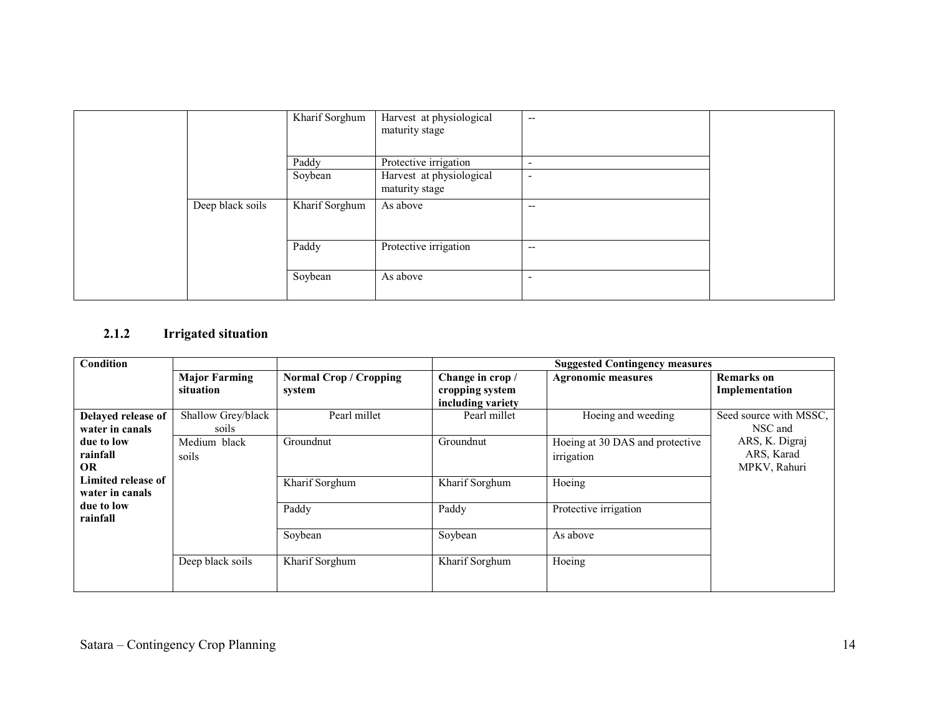|  |                  | Kharif Sorghum   | Harvest at physiological<br>maturity stage        | $\overline{\phantom{a}}$                             |  |
|--|------------------|------------------|---------------------------------------------------|------------------------------------------------------|--|
|  |                  |                  |                                                   |                                                      |  |
|  |                  | Paddy<br>Soybean | Protective irrigation<br>Harvest at physiological | $\overline{\phantom{a}}$<br>$\overline{\phantom{a}}$ |  |
|  |                  |                  | maturity stage                                    |                                                      |  |
|  | Deep black soils | Kharif Sorghum   | As above                                          | $-$                                                  |  |
|  |                  | Paddy            | Protective irrigation                             | $-$                                                  |  |
|  |                  | Soybean          | As above                                          | $\overline{\phantom{a}}$                             |  |

#### 2.1.2 Irrigated situation

| Condition                             |                                   |                                  | <b>Suggested Contingency measures</b>                    |                                               |                                              |  |
|---------------------------------------|-----------------------------------|----------------------------------|----------------------------------------------------------|-----------------------------------------------|----------------------------------------------|--|
|                                       | <b>Major Farming</b><br>situation | Normal Crop / Cropping<br>system | Change in crop /<br>cropping system<br>including variety | <b>Agronomic measures</b>                     | Remarks on<br>Implementation                 |  |
| Delayed release of<br>water in canals | Shallow Grey/black<br>soils       | Pearl millet                     | Pearl millet                                             | Hoeing and weeding                            | Seed source with MSSC.<br>NSC and            |  |
| due to low<br>rainfall<br><b>OR</b>   | Medium black<br>soils             | Groundnut                        | Groundnut                                                | Hoeing at 30 DAS and protective<br>irrigation | ARS, K. Digraj<br>ARS, Karad<br>MPKV, Rahuri |  |
| Limited release of<br>water in canals |                                   | Kharif Sorghum                   | Kharif Sorghum                                           | Hoeing                                        |                                              |  |
| due to low<br>rainfall                |                                   | Paddy                            | Paddy                                                    | Protective irrigation                         |                                              |  |
|                                       |                                   | Soybean                          | Soybean                                                  | As above                                      |                                              |  |
|                                       | Deep black soils                  | Kharif Sorghum                   | Kharif Sorghum                                           | Hoeing                                        |                                              |  |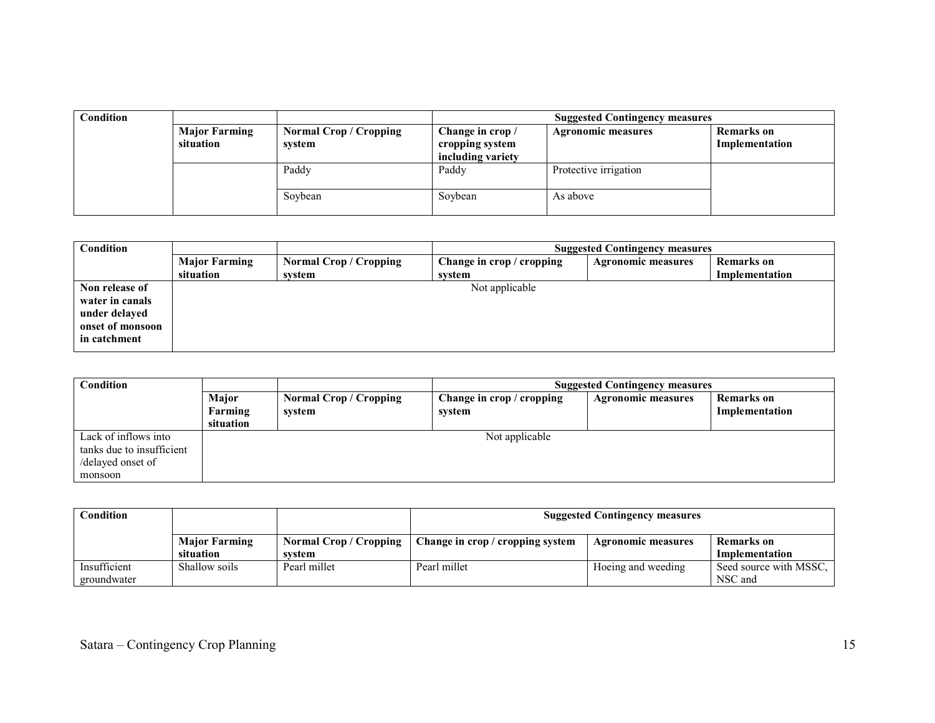| Condition |                                   |                                  | <b>Suggested Contingency measures</b>                    |                           |                                     |  |  |
|-----------|-----------------------------------|----------------------------------|----------------------------------------------------------|---------------------------|-------------------------------------|--|--|
|           | <b>Major Farming</b><br>situation | Normal Crop / Cropping<br>system | Change in crop /<br>cropping system<br>including variety | <b>Agronomic measures</b> | <b>Remarks</b> on<br>Implementation |  |  |
|           |                                   | Paddy                            | Paddy                                                    | Protective irrigation     |                                     |  |  |
|           |                                   | Soybean                          | Soybean                                                  | As above                  |                                     |  |  |

| Condition        |                      |                        | <b>Suggested Contingency measures</b> |                           |                   |  |  |
|------------------|----------------------|------------------------|---------------------------------------|---------------------------|-------------------|--|--|
|                  | <b>Major Farming</b> | Normal Crop / Cropping | Change in crop / cropping             | <b>Agronomic measures</b> | <b>Remarks</b> on |  |  |
|                  | situation            | system                 | svstem                                |                           | Implementation    |  |  |
| Non release of   |                      |                        | Not applicable                        |                           |                   |  |  |
| water in canals  |                      |                        |                                       |                           |                   |  |  |
| under delayed    |                      |                        |                                       |                           |                   |  |  |
| onset of monsoon |                      |                        |                                       |                           |                   |  |  |
| in catchment     |                      |                        |                                       |                           |                   |  |  |
|                  |                      |                        |                                       |                           |                   |  |  |

| Condition                                                                         |                               |                                  | <b>Suggested Contingency measures</b> |                           |                                     |  |  |
|-----------------------------------------------------------------------------------|-------------------------------|----------------------------------|---------------------------------------|---------------------------|-------------------------------------|--|--|
|                                                                                   | Major<br>Farming<br>situation | Normal Crop / Cropping<br>system | Change in crop / cropping<br>svstem   | <b>Agronomic measures</b> | <b>Remarks</b> on<br>Implementation |  |  |
| Lack of inflows into<br>tanks due to insufficient<br>/delayed onset of<br>monsoon |                               |                                  | Not applicable                        |                           |                                     |  |  |

| Condition                   |                                   |                                       | <b>Suggested Contingency measures</b> |                           |                                   |  |  |
|-----------------------------|-----------------------------------|---------------------------------------|---------------------------------------|---------------------------|-----------------------------------|--|--|
|                             | <b>Major Farming</b><br>situation | <b>Normal Crop/Cropping</b><br>system | Change in crop / cropping system      | <b>Agronomic measures</b> | Remarks on<br>Implementation      |  |  |
| Insufficient<br>groundwater | Shallow soils                     | Pearl millet                          | Pearl millet                          | Hoeing and weeding        | Seed source with MSSC,<br>NSC and |  |  |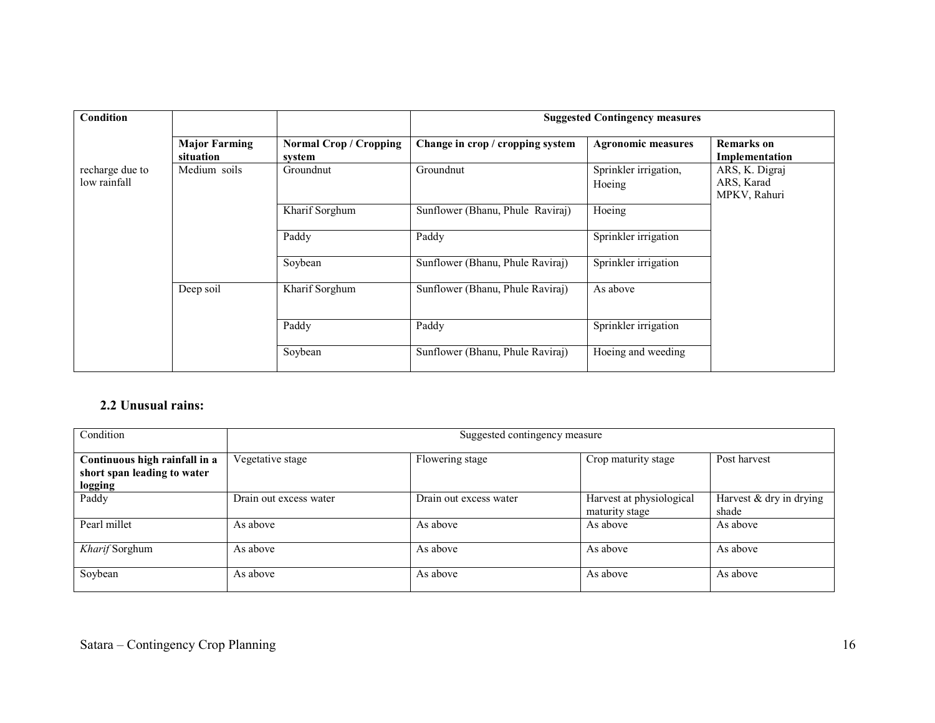| Condition                       |                                   | <b>Suggested Contingency measures</b>   |                                  |                                 |                                              |
|---------------------------------|-----------------------------------|-----------------------------------------|----------------------------------|---------------------------------|----------------------------------------------|
|                                 | <b>Major Farming</b><br>situation | <b>Normal Crop / Cropping</b><br>system | Change in crop / cropping system | <b>Agronomic measures</b>       | <b>Remarks</b> on<br>Implementation          |
| recharge due to<br>low rainfall | Medium soils                      | Groundnut                               | Groundnut                        | Sprinkler irrigation,<br>Hoeing | ARS, K. Digraj<br>ARS, Karad<br>MPKV, Rahuri |
|                                 |                                   | Kharif Sorghum                          | Sunflower (Bhanu, Phule Raviraj) | Hoeing                          |                                              |
|                                 |                                   | Paddy                                   | Paddy                            | Sprinkler irrigation            |                                              |
|                                 |                                   | Soybean                                 | Sunflower (Bhanu, Phule Raviraj) | Sprinkler irrigation            |                                              |
|                                 | Deep soil                         | Kharif Sorghum                          | Sunflower (Bhanu, Phule Raviraj) | As above                        |                                              |
|                                 |                                   | Paddy                                   | Paddy                            | Sprinkler irrigation            |                                              |
|                                 |                                   | Soybean                                 | Sunflower (Bhanu, Phule Raviraj) | Hoeing and weeding              |                                              |

#### 2.2 Unusual rains:

| Condition                                                               | Suggested contingency measure |                        |                                            |                                    |  |
|-------------------------------------------------------------------------|-------------------------------|------------------------|--------------------------------------------|------------------------------------|--|
| Continuous high rainfall in a<br>short span leading to water<br>logging | Vegetative stage              | Flowering stage        | Crop maturity stage                        | Post harvest                       |  |
| Paddy                                                                   | Drain out excess water        | Drain out excess water | Harvest at physiological<br>maturity stage | Harvest $&$ dry in drying<br>shade |  |
| Pearl millet                                                            | As above                      | As above               | As above                                   | As above                           |  |
| Kharif Sorghum                                                          | As above                      | As above               | As above                                   | As above                           |  |
| Soybean                                                                 | As above                      | As above               | As above                                   | As above                           |  |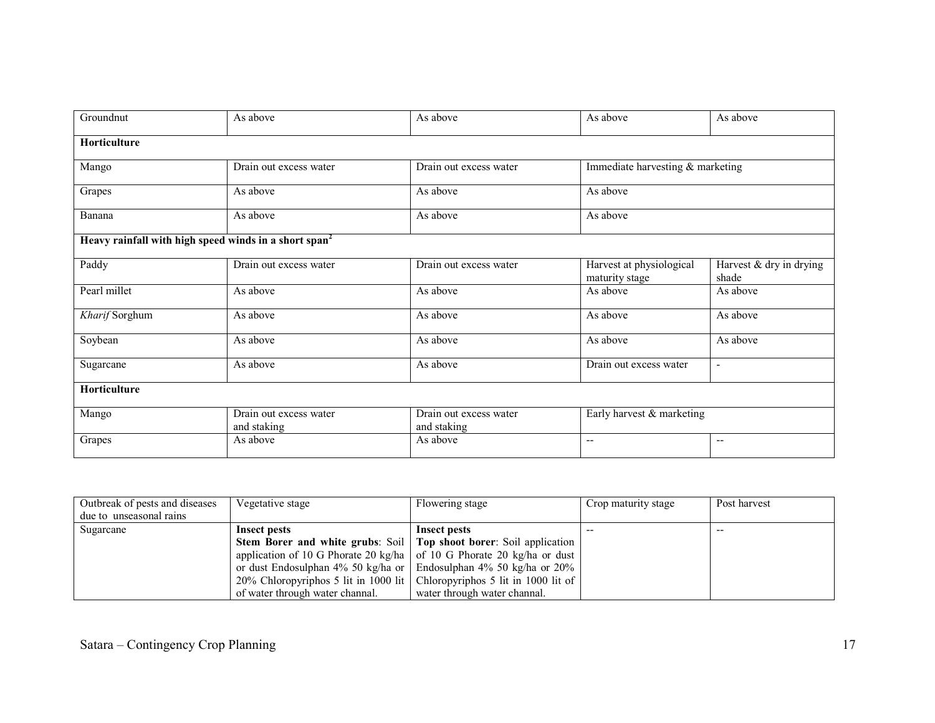| Groundnut      | As above                                                          | As above                              | As above                                   | As above                         |  |  |  |  |
|----------------|-------------------------------------------------------------------|---------------------------------------|--------------------------------------------|----------------------------------|--|--|--|--|
| Horticulture   |                                                                   |                                       |                                            |                                  |  |  |  |  |
| Mango          | Drain out excess water                                            | Drain out excess water                | Immediate harvesting & marketing           |                                  |  |  |  |  |
| Grapes         | As above                                                          | As above                              | As above                                   |                                  |  |  |  |  |
| Banana         | As above                                                          | As above                              | As above                                   |                                  |  |  |  |  |
|                | Heavy rainfall with high speed winds in a short span <sup>2</sup> |                                       |                                            |                                  |  |  |  |  |
| Paddy          | Drain out excess water                                            | Drain out excess water                | Harvest at physiological<br>maturity stage | Harvest & dry in drying<br>shade |  |  |  |  |
| Pearl millet   | As above                                                          | As above                              | As above                                   | As above                         |  |  |  |  |
| Kharif Sorghum | As above                                                          | As above                              | As above                                   | As above                         |  |  |  |  |
| Soybean        | As above                                                          | As above                              | As above                                   | As above                         |  |  |  |  |
| Sugarcane      | As above                                                          | As above                              | Drain out excess water                     | ÷,                               |  |  |  |  |
| Horticulture   |                                                                   |                                       |                                            |                                  |  |  |  |  |
| Mango          | Drain out excess water<br>and staking                             | Drain out excess water<br>and staking | Early harvest & marketing                  |                                  |  |  |  |  |
| Grapes         | As above                                                          | As above                              | $-$                                        | $\overline{\phantom{a}}$         |  |  |  |  |

| Outbreak of pests and diseases | Vegetative stage                                                              | Flowering stage              | Crop maturity stage | Post harvest |
|--------------------------------|-------------------------------------------------------------------------------|------------------------------|---------------------|--------------|
| due to unseasonal rains        |                                                                               |                              |                     |              |
| Sugarcane                      | Insect pests                                                                  | Insect pests                 |                     |              |
|                                | <b>Stem Borer and white grubs:</b> Soil   Top shoot borer: Soil application   |                              |                     |              |
|                                | application of 10 G Phorate 20 kg/ha $\vert$ of 10 G Phorate 20 kg/ha or dust |                              |                     |              |
|                                | or dust Endosulphan 4% 50 kg/ha or   Endosulphan 4% 50 kg/ha or 20%           |                              |                     |              |
|                                | 20% Chloropyriphos 5 lit in 1000 lit   Chloropyriphos 5 lit in 1000 lit of    |                              |                     |              |
|                                | of water through water channal.                                               | water through water channal. |                     |              |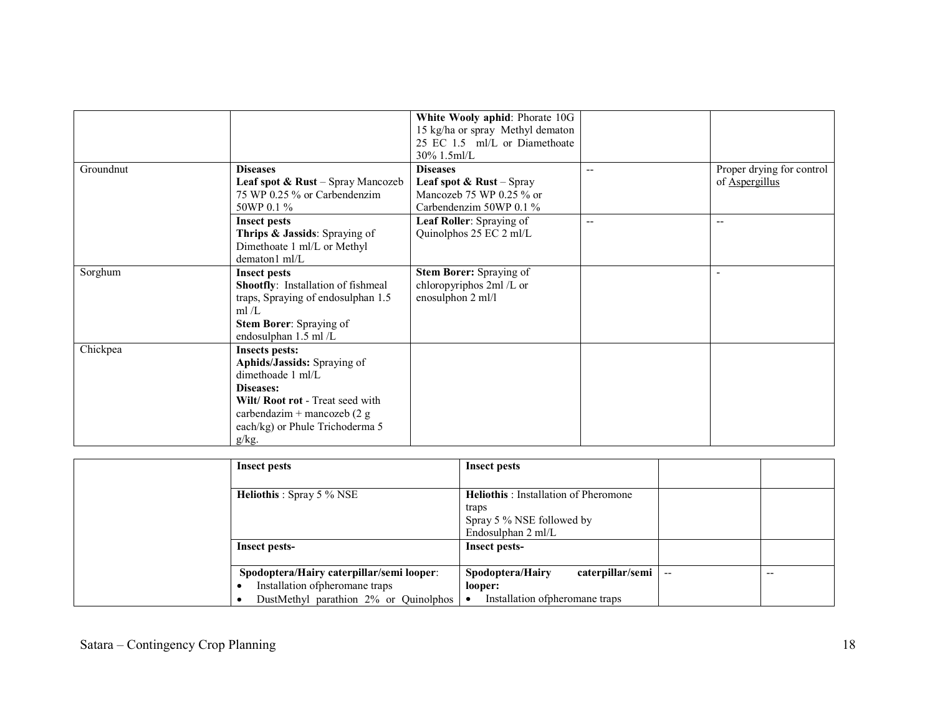| Groundnut | <b>Diseases</b><br><b>Leaf spot &amp; Rust</b> – Spray Mancozeb                                                                                                                                             | White Wooly aphid: Phorate 10G<br>15 kg/ha or spray Methyl dematon<br>25 EC 1.5 ml/L or Diamethoate<br>$30\%$ 1.5ml/L<br><b>Diseases</b><br><b>Leaf spot &amp; Rust</b> – Spray | $\overline{\phantom{a}}$ | Proper drying for control<br>of Aspergillus |
|-----------|-------------------------------------------------------------------------------------------------------------------------------------------------------------------------------------------------------------|---------------------------------------------------------------------------------------------------------------------------------------------------------------------------------|--------------------------|---------------------------------------------|
|           | 75 WP 0.25 % or Carbendenzim<br>50WP 0.1 %                                                                                                                                                                  | Mancozeb 75 WP 0.25 % or<br>Carbendenzim 50WP $0.1\%$                                                                                                                           |                          |                                             |
|           | <b>Insect pests</b><br>Thrips & Jassids: Spraying of<br>Dimethoate 1 ml/L or Methyl<br>dematon1 ml/L                                                                                                        | Leaf Roller: Spraying of<br>Quinolphos 25 EC 2 ml/L                                                                                                                             | $-$                      | $-$                                         |
| Sorghum   | <b>Insect pests</b><br><b>Shootfly:</b> Installation of fishmeal<br>traps, Spraying of endosulphan 1.5<br>ml/L<br>Stem Borer: Spraying of<br>endosulphan 1.5 ml /L                                          | <b>Stem Borer:</b> Spraying of<br>chloropyriphos 2ml /L or<br>enosulphon 2 ml/l                                                                                                 |                          |                                             |
| Chickpea  | <b>Insects pests:</b><br>Aphids/Jassids: Spraying of<br>dimethoade 1 ml/L<br>Diseases:<br>Wilt/ Root rot - Treat seed with<br>carbendazim + mancozeb $(2 g)$<br>each/kg) or Phule Trichoderma 5<br>$g/kg$ . |                                                                                                                                                                                 |                          |                                             |

| Insect pests                                                                 | Insect pests                                                                                             |                          |       |
|------------------------------------------------------------------------------|----------------------------------------------------------------------------------------------------------|--------------------------|-------|
| <b>Heliothis</b> : Spray 5 % NSE                                             | <b>Heliothis</b> : Installation of Pheromone<br>traps<br>Spray 5 % NSE followed by<br>Endosulphan 2 ml/L |                          |       |
| Insect pests-                                                                | <b>Insect pests-</b>                                                                                     |                          |       |
| Spodoptera/Hairy caterpillar/semi looper:<br>Installation of pheromane traps | caterpillar/semi<br>Spodoptera/Hairy<br>looper:                                                          | $\overline{\phantom{a}}$ | $- -$ |
| DustMethyl parathion 2% or Quinolphos                                        | Installation of pheromane traps                                                                          |                          |       |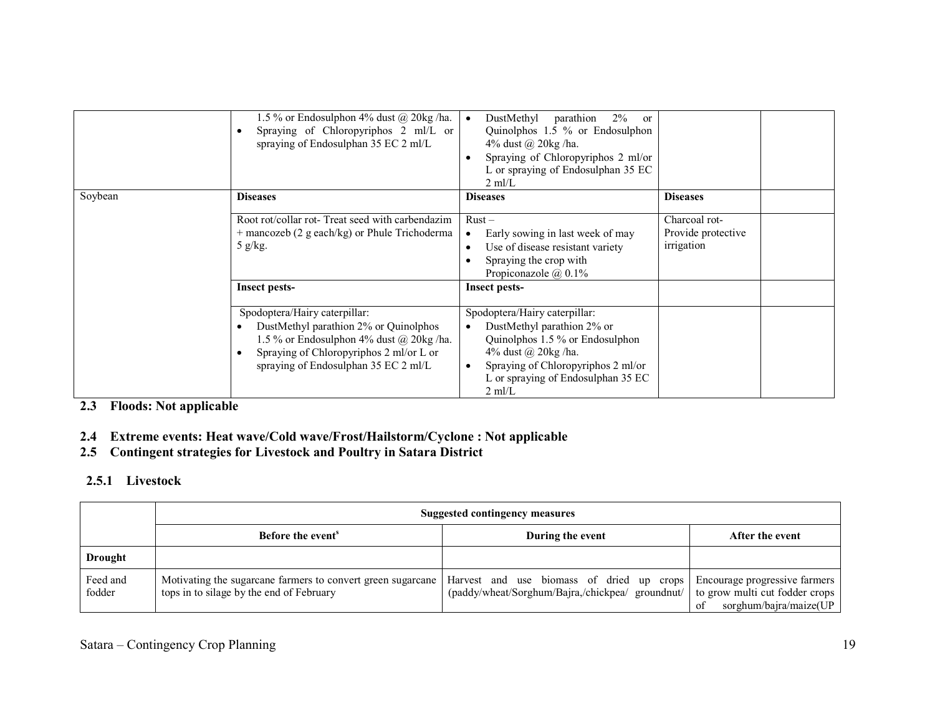|         | 1.5 % or Endosulphon 4% dust $@$ 20kg/ha.<br>Spraying of Chloropyriphos 2 ml/L or<br>spraying of Endosulphan 35 EC 2 ml/L                                                                            | parathion<br>DustMethyl<br>$2\%$<br><sub>or</sub><br>Quinolphos 1.5 % or Endosulphon<br>4% dust @ 20kg /ha.<br>Spraying of Chloropyriphos 2 ml/or<br>L or spraying of Endosulphan 35 EC<br>$2 \text{ ml/L}$           |                                                   |  |
|---------|------------------------------------------------------------------------------------------------------------------------------------------------------------------------------------------------------|-----------------------------------------------------------------------------------------------------------------------------------------------------------------------------------------------------------------------|---------------------------------------------------|--|
| Soybean | <b>Diseases</b>                                                                                                                                                                                      | <b>Diseases</b>                                                                                                                                                                                                       | <b>Diseases</b>                                   |  |
|         | Root rot/collar rot-Treat seed with carbendazim<br>$+$ mancozeb (2 g each/kg) or Phule Trichoderma<br>5 g/kg.                                                                                        | $Rust -$<br>Early sowing in last week of may<br>Use of disease resistant variety<br>Spraying the crop with<br>Propiconazole $\omega$ , 0.1%                                                                           | Charcoal rot-<br>Provide protective<br>irrigation |  |
|         | <b>Insect pests-</b>                                                                                                                                                                                 | <b>Insect pests-</b>                                                                                                                                                                                                  |                                                   |  |
|         | Spodoptera/Hairy caterpillar:<br>DustMethyl parathion 2% or Quinolphos<br>1.5 % or Endosulphon 4% dust @ 20kg/ha.<br>Spraying of Chloropyriphos 2 ml/or L or<br>spraying of Endosulphan 35 EC 2 ml/L | Spodoptera/Hairy caterpillar:<br>DustMethyl parathion 2% or<br>Quinolphos 1.5 % or Endosulphon<br>4% dust @ 20kg /ha.<br>Spraying of Chloropyriphos 2 ml/or<br>L or spraying of Endosulphan 35 EC<br>$2 \text{ ml/L}$ |                                                   |  |

#### 2.3 Floods: Not applicable

### 2.4 Extreme events: Heat wave/Cold wave/Frost/Hailstorm/Cyclone : Not applicable

### 2.5 Contingent strategies for Livestock and Poultry in Satara District

### 2.5.1 Livestock

|                    | Suggested contingency measures                                                                                                                                                      |                                                                                 |                                 |  |  |
|--------------------|-------------------------------------------------------------------------------------------------------------------------------------------------------------------------------------|---------------------------------------------------------------------------------|---------------------------------|--|--|
|                    | Before the event <sup>8</sup>                                                                                                                                                       | During the event                                                                | After the event                 |  |  |
| <b>Drought</b>     |                                                                                                                                                                                     |                                                                                 |                                 |  |  |
| Feed and<br>fodder | Motivating the sugarcane farmers to convert green sugarcane   Harvest and use biomass of dried up crops   Encourage progressive farmers<br>tops in to silage by the end of February | (paddy/wheat/Sorghum/Bajra,/chickpea/ groundnut/ to grow multi cut fodder crops | sorghum/bajra/maize( $UP$<br>of |  |  |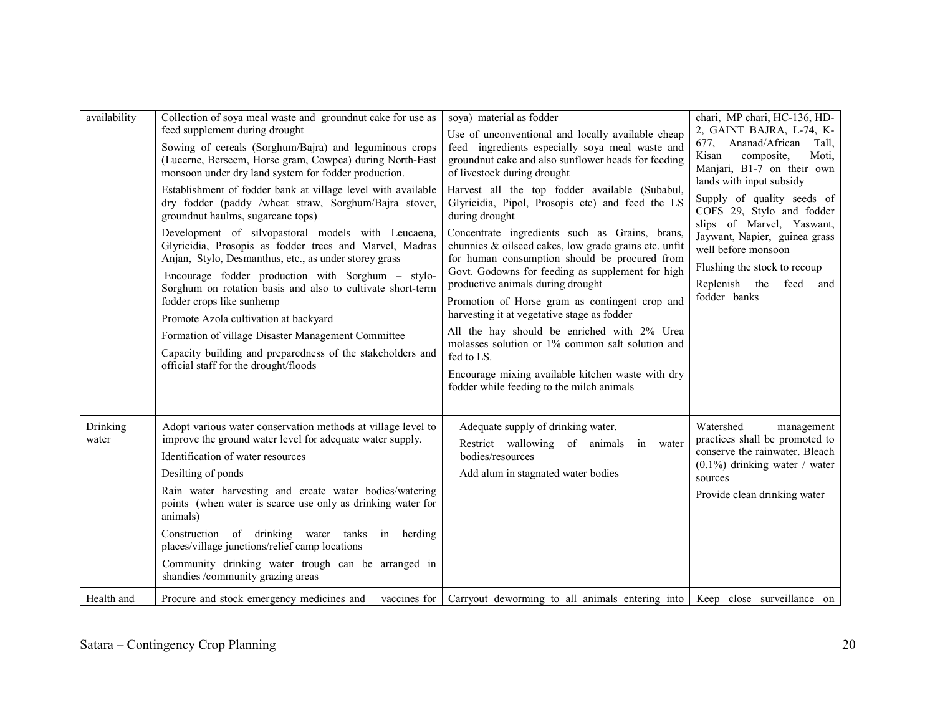| availability      | Collection of soya meal waste and groundnut cake for use as<br>feed supplement during drought<br>Sowing of cereals (Sorghum/Bajra) and leguminous crops<br>(Lucerne, Berseem, Horse gram, Cowpea) during North-East<br>monsoon under dry land system for fodder production.<br>Establishment of fodder bank at village level with available<br>dry fodder (paddy /wheat straw, Sorghum/Bajra stover,<br>groundnut haulms, sugarcane tops)<br>Development of silvopastoral models with Leucaena,<br>Glyricidia, Prosopis as fodder trees and Marvel, Madras<br>Anjan, Stylo, Desmanthus, etc., as under storey grass<br>Encourage fodder production with Sorghum – stylo-<br>Sorghum on rotation basis and also to cultivate short-term<br>fodder crops like sunhemp<br>Promote Azola cultivation at backyard<br>Formation of village Disaster Management Committee<br>Capacity building and preparedness of the stakeholders and<br>official staff for the drought/floods | soya) material as fodder<br>Use of unconventional and locally available cheap<br>feed ingredients especially soya meal waste and<br>groundnut cake and also sunflower heads for feeding<br>of livestock during drought<br>Harvest all the top fodder available (Subabul,<br>Glyricidia, Pipol, Prosopis etc) and feed the LS<br>during drought<br>Concentrate ingredients such as Grains, brans,<br>chunnies & oilseed cakes, low grade grains etc. unfit<br>for human consumption should be procured from<br>Govt. Godowns for feeding as supplement for high<br>productive animals during drought<br>Promotion of Horse gram as contingent crop and<br>harvesting it at vegetative stage as fodder<br>All the hay should be enriched with 2% Urea<br>molasses solution or 1% common salt solution and<br>fed to LS.<br>Encourage mixing available kitchen waste with dry | chari, MP chari, HC-136, HD-<br>2, GAINT BAJRA, L-74, K-<br>677, Ananad/African<br>Tall.<br>Kisan<br>composite,<br>Moti,<br>Manjari, B1-7 on their own<br>lands with input subsidy<br>Supply of quality seeds of<br>COFS 29, Stylo and fodder<br>slips of Marvel, Yaswant,<br>Jaywant, Napier, guinea grass<br>well before monsoon<br>Flushing the stock to recoup<br>Replenish the<br>feed<br>and<br>fodder banks |
|-------------------|---------------------------------------------------------------------------------------------------------------------------------------------------------------------------------------------------------------------------------------------------------------------------------------------------------------------------------------------------------------------------------------------------------------------------------------------------------------------------------------------------------------------------------------------------------------------------------------------------------------------------------------------------------------------------------------------------------------------------------------------------------------------------------------------------------------------------------------------------------------------------------------------------------------------------------------------------------------------------|----------------------------------------------------------------------------------------------------------------------------------------------------------------------------------------------------------------------------------------------------------------------------------------------------------------------------------------------------------------------------------------------------------------------------------------------------------------------------------------------------------------------------------------------------------------------------------------------------------------------------------------------------------------------------------------------------------------------------------------------------------------------------------------------------------------------------------------------------------------------------|--------------------------------------------------------------------------------------------------------------------------------------------------------------------------------------------------------------------------------------------------------------------------------------------------------------------------------------------------------------------------------------------------------------------|
| Drinking<br>water | Adopt various water conservation methods at village level to<br>improve the ground water level for adequate water supply.<br>Identification of water resources<br>Desilting of ponds<br>Rain water harvesting and create water bodies/watering<br>points (when water is scarce use only as drinking water for<br>animals)<br>Construction of drinking water tanks in herding<br>places/village junctions/relief camp locations<br>Community drinking water trough can be arranged in<br>shandies /community grazing areas                                                                                                                                                                                                                                                                                                                                                                                                                                                 | fodder while feeding to the milch animals<br>Adequate supply of drinking water.<br>Restrict wallowing of animals<br>in water<br>bodies/resources<br>Add alum in stagnated water bodies                                                                                                                                                                                                                                                                                                                                                                                                                                                                                                                                                                                                                                                                                     | Watershed<br>management<br>practices shall be promoted to<br>conserve the rainwater. Bleach<br>$(0.1\%)$ drinking water / water<br>sources<br>Provide clean drinking water                                                                                                                                                                                                                                         |
| Health and        | Procure and stock emergency medicines and                                                                                                                                                                                                                                                                                                                                                                                                                                                                                                                                                                                                                                                                                                                                                                                                                                                                                                                                 | vaccines for Carryout deworming to all animals entering into Keep close surveillance on                                                                                                                                                                                                                                                                                                                                                                                                                                                                                                                                                                                                                                                                                                                                                                                    |                                                                                                                                                                                                                                                                                                                                                                                                                    |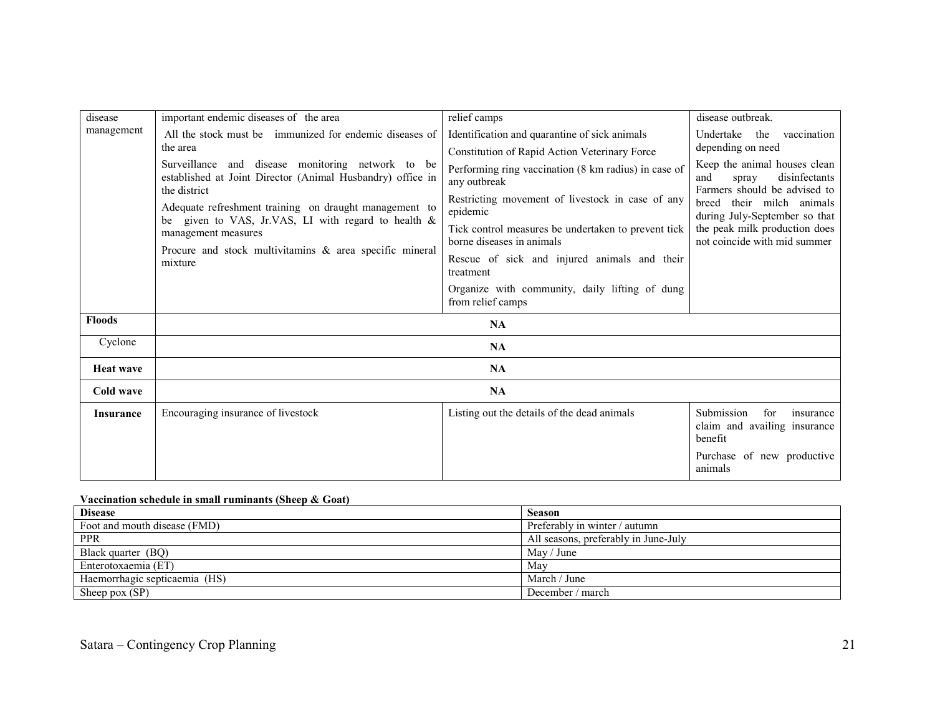| disease          | important endemic diseases of the area                                                                                          | relief camps                                                                     | disease outbreak.                                                                             |
|------------------|---------------------------------------------------------------------------------------------------------------------------------|----------------------------------------------------------------------------------|-----------------------------------------------------------------------------------------------|
| management       | All the stock must be immunized for endemic diseases of                                                                         | Identification and quarantine of sick animals                                    | vaccination<br>Undertake the                                                                  |
|                  | the area                                                                                                                        | Constitution of Rapid Action Veterinary Force                                    | depending on need                                                                             |
|                  | Surveillance and disease monitoring network to be<br>established at Joint Director (Animal Husbandry) office in<br>the district | Performing ring vaccination (8 km radius) in case of<br>any outbreak             | Keep the animal houses clean<br>disinfectants<br>and<br>spray<br>Farmers should be advised to |
|                  | Adequate refreshment training on draught management to<br>be given to VAS, Jr.VAS, LI with regard to health &                   | Restricting movement of livestock in case of any<br>epidemic                     | breed their milch animals<br>during July-September so that                                    |
|                  | management measures<br>Procure and stock multivitamins & area specific mineral                                                  | Tick control measures be undertaken to prevent tick<br>borne diseases in animals | the peak milk production does<br>not coincide with mid summer                                 |
|                  | mixture                                                                                                                         | Rescue of sick and injured animals and their<br>treatment                        |                                                                                               |
|                  |                                                                                                                                 | Organize with community, daily lifting of dung<br>from relief camps              |                                                                                               |
| <b>Floods</b>    |                                                                                                                                 | NA                                                                               |                                                                                               |
| Cyclone          |                                                                                                                                 | <b>NA</b>                                                                        |                                                                                               |
| <b>Heat wave</b> |                                                                                                                                 | <b>NA</b>                                                                        |                                                                                               |
| Cold wave        |                                                                                                                                 | <b>NA</b>                                                                        |                                                                                               |
| <b>Insurance</b> | Encouraging insurance of livestock                                                                                              | Listing out the details of the dead animals                                      | Submission<br>for<br>insurance<br>claim and availing insurance<br>benefit                     |
|                  |                                                                                                                                 |                                                                                  | Purchase of new productive<br>animals                                                         |

#### Vaccination schedule in small ruminants (Sheep & Goat)

| <b>Disease</b>                | <b>Season</b>                        |
|-------------------------------|--------------------------------------|
| Foot and mouth disease (FMD)  | Preferably in winter / autumn        |
| <b>PPR</b>                    | All seasons, preferably in June-July |
| Black quarter (BQ)            | May / June                           |
| Enterotoxaemia (ET)           | May                                  |
| Haemorrhagic septicaemia (HS) | March / June                         |
| Sheep pox (SP)                | December / march                     |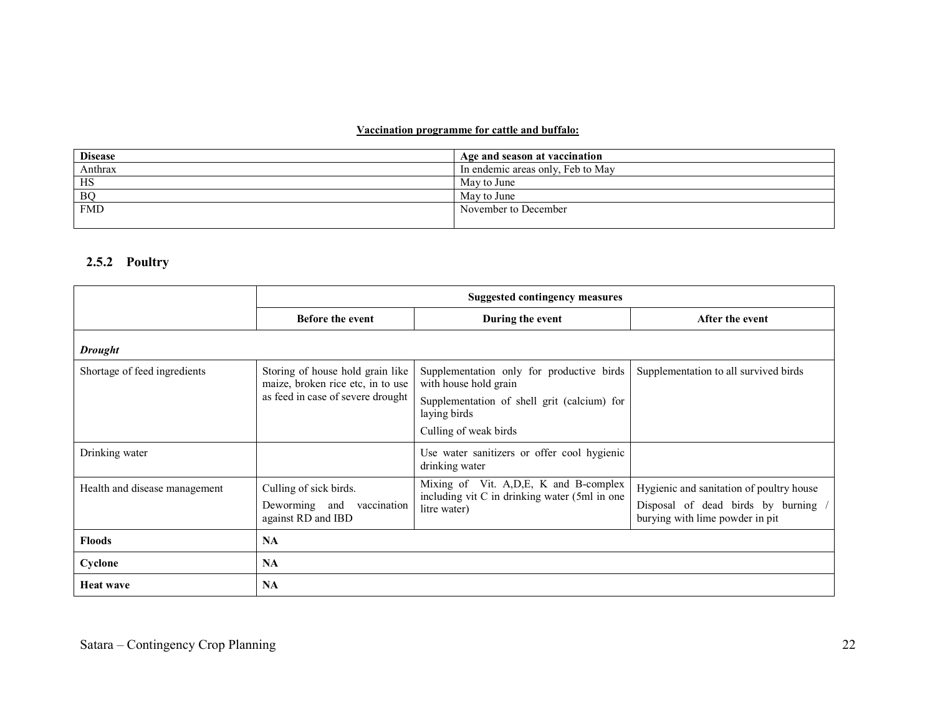#### Vaccination programme for cattle and buffalo:

| <b>Disease</b> | Age and season at vaccination     |
|----------------|-----------------------------------|
| Anthrax        | In endemic areas only, Feb to May |
| HS             | May to June                       |
| <b>BQ</b>      | May to June                       |
| <b>FMD</b>     | November to December              |
|                |                                   |

### 2.5.2 Poultry

|                               | <b>Suggested contingency measures</b>                                 |                                                                    |                                                                        |  |
|-------------------------------|-----------------------------------------------------------------------|--------------------------------------------------------------------|------------------------------------------------------------------------|--|
|                               | <b>Before the event</b>                                               | During the event                                                   | After the event                                                        |  |
| <b>Drought</b>                |                                                                       |                                                                    |                                                                        |  |
| Shortage of feed ingredients  | Storing of house hold grain like<br>maize, broken rice etc, in to use | Supplementation only for productive birds<br>with house hold grain | Supplementation to all survived birds                                  |  |
|                               | as feed in case of severe drought                                     | Supplementation of shell grit (calcium) for<br>laying birds        |                                                                        |  |
|                               |                                                                       | Culling of weak birds                                              |                                                                        |  |
| Drinking water                |                                                                       | Use water sanitizers or offer cool hygienic<br>drinking water      |                                                                        |  |
| Health and disease management | Culling of sick birds.                                                | Mixing of Vit. A, D, E, K and B-complex                            | Hygienic and sanitation of poultry house                               |  |
|                               | Deworming and<br>vaccination<br>against RD and IBD                    | including vit C in drinking water (5ml in one<br>litre water)      | Disposal of dead birds by burning /<br>burying with lime powder in pit |  |
| <b>Floods</b>                 | <b>NA</b>                                                             |                                                                    |                                                                        |  |
| Cyclone                       | <b>NA</b>                                                             |                                                                    |                                                                        |  |
| <b>Heat wave</b>              | <b>NA</b>                                                             |                                                                    |                                                                        |  |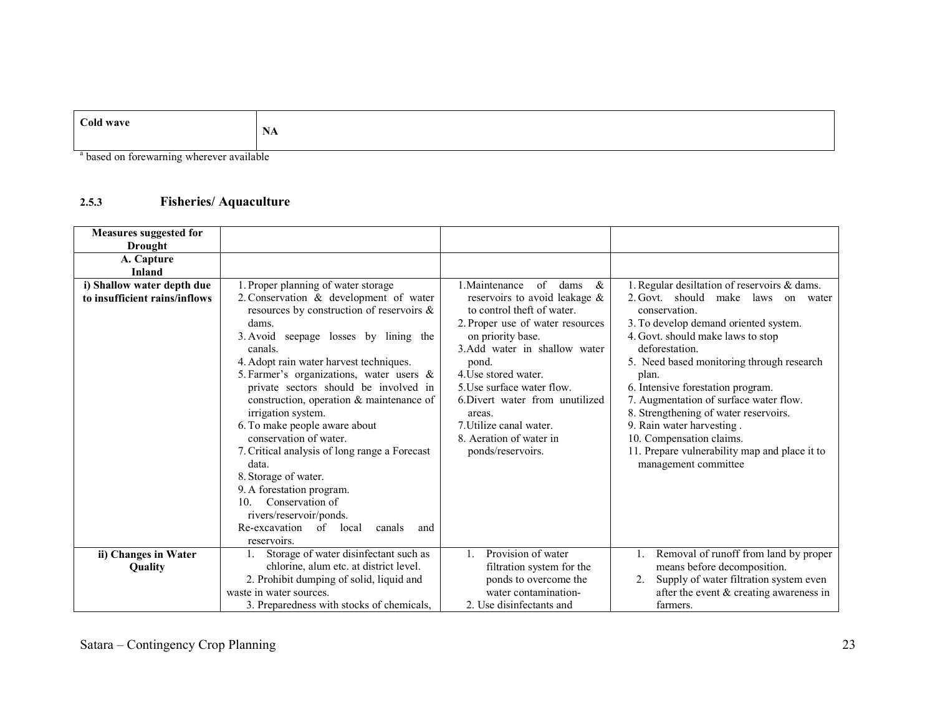| Cold wave | NA |
|-----------|----|
|           |    |

<sup>a</sup> based on forewarning wherever available

#### 2.5.3Fisheries/ Aquaculture

| <b>Measures suggested for</b> |                                                                                                 |                                                                                                 |                                                                                                       |
|-------------------------------|-------------------------------------------------------------------------------------------------|-------------------------------------------------------------------------------------------------|-------------------------------------------------------------------------------------------------------|
| Drought                       |                                                                                                 |                                                                                                 |                                                                                                       |
| A. Capture                    |                                                                                                 |                                                                                                 |                                                                                                       |
| <b>Inland</b>                 |                                                                                                 |                                                                                                 |                                                                                                       |
| i) Shallow water depth due    | 1. Proper planning of water storage                                                             | 1. Maintenance<br>$\sigma$<br>dams<br>$\&$                                                      | 1. Regular desiltation of reservoirs & dams.                                                          |
| to insufficient rains/inflows | 2. Conservation & development of water<br>resources by construction of reservoirs $\&$<br>dams. | reservoirs to avoid leakage &<br>to control theft of water.<br>2. Proper use of water resources | 2. Govt. should<br>make<br>laws<br>on water<br>conservation.<br>3. To develop demand oriented system. |
|                               | 3. Avoid<br>seepage losses by lining the<br>canals.                                             | on priority base.<br>3.Add water in shallow water                                               | 4. Govt. should make laws to stop<br>deforestation.                                                   |
|                               | 4. Adopt rain water harvest techniques.                                                         | pond.                                                                                           | 5. Need based monitoring through research                                                             |
|                               | 5. Farmer's organizations, water users $\&$                                                     | 4. Use stored water.                                                                            | plan.                                                                                                 |
|                               | private sectors should be involved in                                                           | 5. Use surface water flow.                                                                      | 6. Intensive forestation program.                                                                     |
|                               | construction, operation & maintenance of                                                        | 6. Divert water from unutilized                                                                 | 7. Augmentation of surface water flow.                                                                |
|                               | irrigation system.                                                                              | areas.                                                                                          | 8. Strengthening of water reservoirs.                                                                 |
|                               | 6. To make people aware about                                                                   | 7. Utilize canal water.                                                                         | 9. Rain water harvesting.                                                                             |
|                               | conservation of water.                                                                          | 8. Aeration of water in                                                                         | 10. Compensation claims.                                                                              |
|                               | 7. Critical analysis of long range a Forecast                                                   | ponds/reservoirs.                                                                               | 11. Prepare vulnerability map and place it to                                                         |
|                               | data.                                                                                           |                                                                                                 | management committee                                                                                  |
|                               | 8. Storage of water.                                                                            |                                                                                                 |                                                                                                       |
|                               | 9. A forestation program.                                                                       |                                                                                                 |                                                                                                       |
|                               | Conservation of<br>10.                                                                          |                                                                                                 |                                                                                                       |
|                               | rivers/reservoir/ponds.                                                                         |                                                                                                 |                                                                                                       |
|                               | Re-excavation of local<br>canals<br>and                                                         |                                                                                                 |                                                                                                       |
|                               | reservoirs.                                                                                     |                                                                                                 |                                                                                                       |
| ii) Changes in Water          | Storage of water disinfectant such as                                                           | Provision of water<br>$\mathbf{1}$ .                                                            | Removal of runoff from land by proper                                                                 |
| Quality                       | chlorine, alum etc. at district level.                                                          | filtration system for the                                                                       | means before decomposition.                                                                           |
|                               | 2. Prohibit dumping of solid, liquid and                                                        | ponds to overcome the                                                                           | Supply of water filtration system even                                                                |
|                               | waste in water sources.                                                                         | water contamination-                                                                            | after the event $&$ creating awareness in                                                             |
|                               | 3. Preparedness with stocks of chemicals,                                                       | 2. Use disinfectants and                                                                        | farmers.                                                                                              |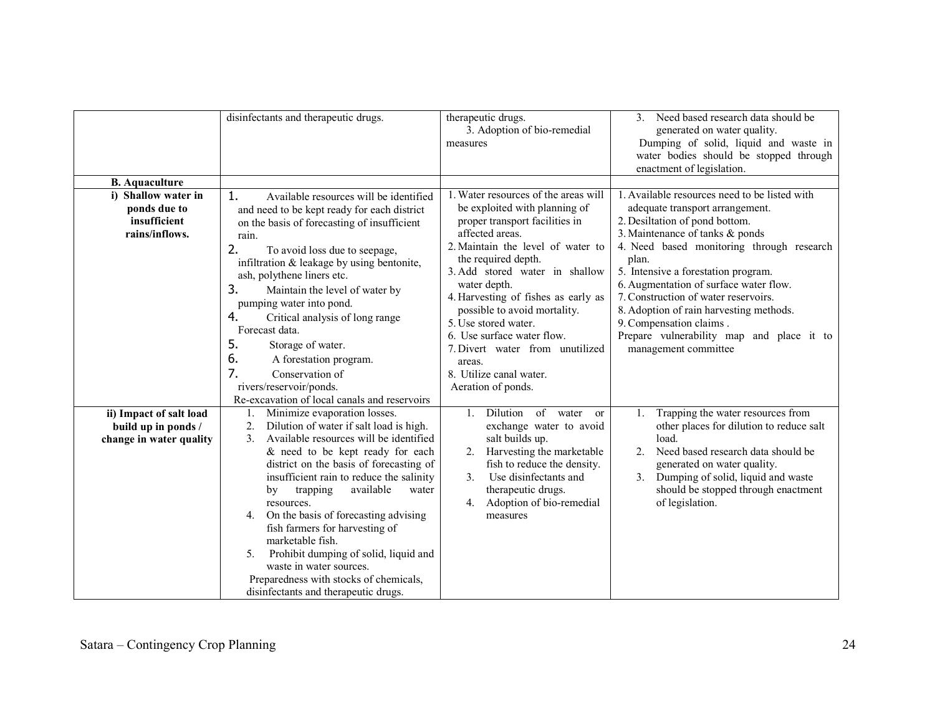|                                                                       | disinfectants and therapeutic drugs.                                                                                                                                                                                                                                                                                                                                                                                                                                                                                                                                 | therapeutic drugs.<br>3. Adoption of bio-remedial<br>measures                                                                                                                                                                                                                                                                                                                                                                                                       | 3. Need based research data should be<br>generated on water quality.<br>Dumping of solid, liquid and waste in<br>water bodies should be stopped through<br>enactment of legislation.                                                                                                                                                                                                                                                                                            |
|-----------------------------------------------------------------------|----------------------------------------------------------------------------------------------------------------------------------------------------------------------------------------------------------------------------------------------------------------------------------------------------------------------------------------------------------------------------------------------------------------------------------------------------------------------------------------------------------------------------------------------------------------------|---------------------------------------------------------------------------------------------------------------------------------------------------------------------------------------------------------------------------------------------------------------------------------------------------------------------------------------------------------------------------------------------------------------------------------------------------------------------|---------------------------------------------------------------------------------------------------------------------------------------------------------------------------------------------------------------------------------------------------------------------------------------------------------------------------------------------------------------------------------------------------------------------------------------------------------------------------------|
| <b>B.</b> Aquaculture                                                 |                                                                                                                                                                                                                                                                                                                                                                                                                                                                                                                                                                      |                                                                                                                                                                                                                                                                                                                                                                                                                                                                     |                                                                                                                                                                                                                                                                                                                                                                                                                                                                                 |
| i) Shallow water in<br>ponds due to<br>insufficient<br>rains/inflows. | 1.<br>Available resources will be identified<br>and need to be kept ready for each district<br>on the basis of forecasting of insufficient<br>rain.<br>2.<br>To avoid loss due to seepage,<br>infiltration & leakage by using bentonite,<br>ash, polythene liners etc.<br>3.<br>Maintain the level of water by<br>pumping water into pond.<br>4.<br>Critical analysis of long range<br>Forecast data.<br>5.<br>Storage of water.<br>6.<br>A forestation program.<br>7.<br>Conservation of<br>rivers/reservoir/ponds.<br>Re-excavation of local canals and reservoirs | 1. Water resources of the areas will<br>be exploited with planning of<br>proper transport facilities in<br>affected areas.<br>2. Maintain the level of water to<br>the required depth.<br>3. Add stored water in shallow<br>water depth.<br>4. Harvesting of fishes as early as<br>possible to avoid mortality.<br>5. Use stored water.<br>6. Use surface water flow.<br>7. Divert water from unutilized<br>areas.<br>8. Utilize canal water.<br>Aeration of ponds. | 1. Available resources need to be listed with<br>adequate transport arrangement.<br>2. Desiltation of pond bottom.<br>3. Maintenance of tanks & ponds<br>4. Need based monitoring through research<br>plan.<br>5. Intensive a forestation program.<br>6. Augmentation of surface water flow.<br>7. Construction of water reservoirs.<br>8. Adoption of rain harvesting methods.<br>9. Compensation claims.<br>Prepare vulnerability map and place it to<br>management committee |
| ii) Impact of salt load                                               | Minimize evaporation losses.<br>1.                                                                                                                                                                                                                                                                                                                                                                                                                                                                                                                                   | Dilution of water<br><sub>or</sub>                                                                                                                                                                                                                                                                                                                                                                                                                                  | Trapping the water resources from<br>1.                                                                                                                                                                                                                                                                                                                                                                                                                                         |
| build up in ponds /                                                   | 2.<br>Dilution of water if salt load is high.                                                                                                                                                                                                                                                                                                                                                                                                                                                                                                                        | exchange water to avoid                                                                                                                                                                                                                                                                                                                                                                                                                                             | other places for dilution to reduce salt                                                                                                                                                                                                                                                                                                                                                                                                                                        |
| change in water quality                                               | Available resources will be identified<br>3 <sub>1</sub><br>& need to be kept ready for each<br>district on the basis of forecasting of<br>insufficient rain to reduce the salinity<br>available<br>trapping<br>by<br>water<br>resources.<br>On the basis of forecasting advising<br>4.<br>fish farmers for harvesting of<br>marketable fish.<br>Prohibit dumping of solid, liquid and<br>5.<br>waste in water sources.<br>Preparedness with stocks of chemicals,<br>disinfectants and therapeutic drugs.                                                            | salt builds up.<br>Harvesting the marketable<br>2 <sub>1</sub><br>fish to reduce the density.<br>Use disinfectants and<br>3 <sub>1</sub><br>therapeutic drugs.<br>Adoption of bio-remedial<br>4.<br>measures                                                                                                                                                                                                                                                        | load.<br>Need based research data should be<br>2.<br>generated on water quality.<br>3. Dumping of solid, liquid and waste<br>should be stopped through enactment<br>of legislation.                                                                                                                                                                                                                                                                                             |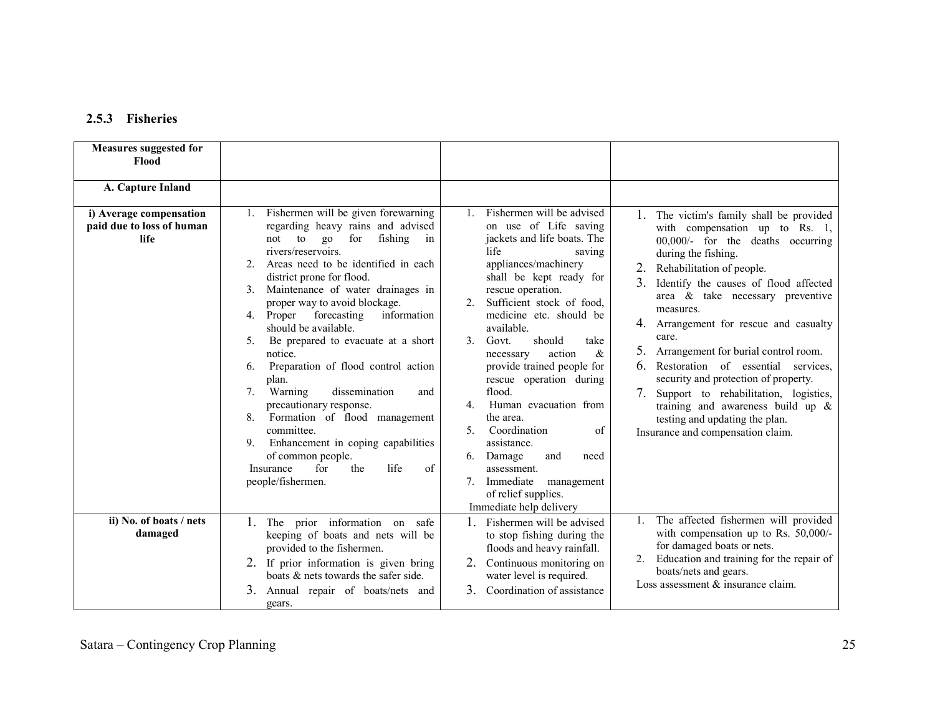### 2.5.3 Fisheries

| <b>Measures suggested for</b><br>Flood<br>A. Capture Inland         |                                                                                                                                                                                                                                                                                                                                                                                                                                                                                                                                                                                                                                                                                                                                                                             |                                                                                                                                                                                                                                                                                                                                                                                                                                                                                                                                                                                                                   |                                                                                                                                                                                                                                                                                                                                                                                                                                                                                                                                                                                                                       |
|---------------------------------------------------------------------|-----------------------------------------------------------------------------------------------------------------------------------------------------------------------------------------------------------------------------------------------------------------------------------------------------------------------------------------------------------------------------------------------------------------------------------------------------------------------------------------------------------------------------------------------------------------------------------------------------------------------------------------------------------------------------------------------------------------------------------------------------------------------------|-------------------------------------------------------------------------------------------------------------------------------------------------------------------------------------------------------------------------------------------------------------------------------------------------------------------------------------------------------------------------------------------------------------------------------------------------------------------------------------------------------------------------------------------------------------------------------------------------------------------|-----------------------------------------------------------------------------------------------------------------------------------------------------------------------------------------------------------------------------------------------------------------------------------------------------------------------------------------------------------------------------------------------------------------------------------------------------------------------------------------------------------------------------------------------------------------------------------------------------------------------|
| i) Average compensation<br>paid due to loss of human<br><b>life</b> | Fishermen will be given forewarning<br>regarding heavy rains and advised<br>for<br>fishing<br>not<br>to<br>g <sub>o</sub><br>in<br>rivers/reservoirs.<br>Areas need to be identified in each<br>2.<br>district prone for flood.<br>Maintenance of water drainages in<br>proper way to avoid blockage.<br>forecasting<br>information<br>4. Proper<br>should be available.<br>Be prepared to evacuate at a short<br>5.<br>notice.<br>Preparation of flood control action<br>6.<br>plan.<br>dissemination<br>Warning<br>$7_{\scriptscriptstyle{\ddots}}$<br>and<br>precautionary response.<br>Formation of flood management<br>8.<br>committee.<br>Enhancement in coping capabilities<br>9.<br>of common people.<br>life<br>for<br>the<br>of<br>Insurance<br>people/fishermen. | Fishermen will be advised<br>$\mathbf{1}$<br>on use of Life saving<br>jackets and life boats. The<br>life<br>saving<br>appliances/machinery<br>shall be kept ready for<br>rescue operation.<br>Sufficient stock of food.<br>medicine etc. should be<br>available.<br>Govt.<br>should<br>3<br>take<br>&<br>action<br>necessary<br>provide trained people for<br>rescue operation during<br>flood.<br>Human evacuation from<br>4<br>the area.<br>Coordination<br>5.<br>of<br>assistance.<br>Damage<br>and<br>6.<br>need<br>assessment.<br>Immediate<br>management<br>of relief supplies.<br>Immediate help delivery | 1. The victim's family shall be provided<br>with compensation up to Rs. 1,<br>00,000/- for the deaths occurring<br>during the fishing.<br>Rehabilitation of people.<br>3.<br>Identify the causes of flood affected<br>area & take necessary preventive<br>measures.<br>4. Arrangement for rescue and casualty<br>care.<br>5.<br>Arrangement for burial control room.<br>Restoration of essential services.<br>6<br>security and protection of property.<br>7.<br>Support to rehabilitation, logistics,<br>training and awareness build up $\&$<br>testing and updating the plan.<br>Insurance and compensation claim. |
| ii) No. of boats / nets<br>damaged                                  | The prior information on safe<br>$1_{-}$<br>keeping of boats and nets will be<br>provided to the fishermen.<br>2. If prior information is given bring<br>boats & nets towards the safer side.<br>3.<br>Annual repair of boats/nets and<br>gears.                                                                                                                                                                                                                                                                                                                                                                                                                                                                                                                            | $1_{-}$<br>Fishermen will be advised<br>to stop fishing during the<br>floods and heavy rainfall.<br>Continuous monitoring on<br>water level is required.<br>$\mathcal{E}$<br>Coordination of assistance                                                                                                                                                                                                                                                                                                                                                                                                           | The affected fishermen will provided<br>1.<br>with compensation up to Rs. 50,000/-<br>for damaged boats or nets.<br>Education and training for the repair of<br>boats/nets and gears.<br>Loss assessment & insurance claim.                                                                                                                                                                                                                                                                                                                                                                                           |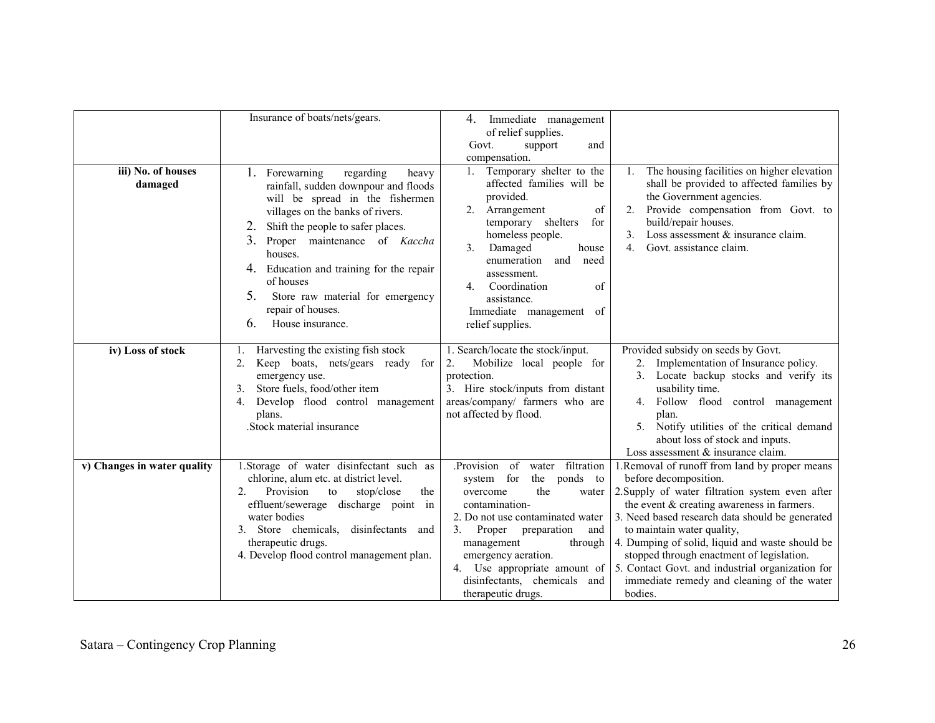| iii) No. of houses<br>damaged | Insurance of boats/nets/gears.<br>1. Forewarning<br>regarding<br>heavy<br>rainfall, sudden downpour and floods<br>will be spread in the fishermen<br>villages on the banks of rivers.<br>Shift the people to safer places.<br>2.<br>3.<br>Proper maintenance of Kaccha<br>houses.<br>4. Education and training for the repair<br>of houses<br>5.<br>Store raw material for emergency<br>repair of houses. | Immediate management<br>4.<br>of relief supplies.<br>Govt.<br>support<br>and<br>compensation.<br>1. Temporary shelter to the<br>affected families will be<br>provided.<br>Arrangement<br>2 <sub>1</sub><br>of<br>temporary shelters<br>for<br>homeless people.<br>3.<br>Damaged<br>house<br>enumeration<br>and<br>need<br>assessment.<br>Coordination<br>of<br>$4_{\cdot}$<br>assistance.<br>Immediate management of | The housing facilities on higher elevation<br>1.<br>shall be provided to affected families by<br>the Government agencies.<br>Provide compensation from Govt. to<br>2.<br>build/repair houses.<br>Loss assessment & insurance claim.<br>3 <sub>1</sub><br>4 <sup>1</sup><br>Govt. assistance claim.                                                                                                                                                                       |
|-------------------------------|-----------------------------------------------------------------------------------------------------------------------------------------------------------------------------------------------------------------------------------------------------------------------------------------------------------------------------------------------------------------------------------------------------------|----------------------------------------------------------------------------------------------------------------------------------------------------------------------------------------------------------------------------------------------------------------------------------------------------------------------------------------------------------------------------------------------------------------------|--------------------------------------------------------------------------------------------------------------------------------------------------------------------------------------------------------------------------------------------------------------------------------------------------------------------------------------------------------------------------------------------------------------------------------------------------------------------------|
|                               | 6.<br>House insurance.                                                                                                                                                                                                                                                                                                                                                                                    | relief supplies.                                                                                                                                                                                                                                                                                                                                                                                                     |                                                                                                                                                                                                                                                                                                                                                                                                                                                                          |
| iv) Loss of stock             | Harvesting the existing fish stock<br>1.<br>2.<br>Keep boats, nets/gears ready for<br>emergency use.<br>Store fuels, food/other item<br>3.<br>Develop flood control management<br>4.<br>plans.<br>.Stock material insurance                                                                                                                                                                               | 1. Search/locate the stock/input.<br>2.<br>Mobilize local people for<br>protection.<br>3. Hire stock/inputs from distant<br>areas/company/ farmers who are<br>not affected by flood.                                                                                                                                                                                                                                 | Provided subsidy on seeds by Govt.<br>2. Implementation of Insurance policy.<br>3. Locate backup stocks and verify its<br>usability time.<br>4. Follow flood control management<br>plan.<br>5. Notify utilities of the critical demand<br>about loss of stock and inputs.<br>Loss assessment & insurance claim.                                                                                                                                                          |
| v) Changes in water quality   | 1.Storage of water disinfectant such as<br>chlorine, alum etc. at district level.<br>2.<br>Provision<br>stop/close<br>to<br>the<br>effluent/sewerage discharge point in<br>water bodies<br>3. Store chemicals.<br>disinfectants<br>and<br>therapeutic drugs.<br>4. Develop flood control management plan.                                                                                                 | .Provision<br>water filtration<br>of<br>the<br>system for<br>ponds to<br>the<br>overcome<br>water<br>contamination-<br>2. Do not use contaminated water<br>3.<br>Proper<br>preparation<br>and<br>management<br>through<br>emergency aeration.<br>4. Use appropriate amount of<br>disinfectants, chemicals and<br>therapeutic drugs.                                                                                  | 1. Removal of runoff from land by proper means<br>before decomposition.<br>2. Supply of water filtration system even after<br>the event $&$ creating awareness in farmers.<br>3. Need based research data should be generated<br>to maintain water quality,<br>4. Dumping of solid, liquid and waste should be<br>stopped through enactment of legislation.<br>5. Contact Govt. and industrial organization for<br>immediate remedy and cleaning of the water<br>bodies. |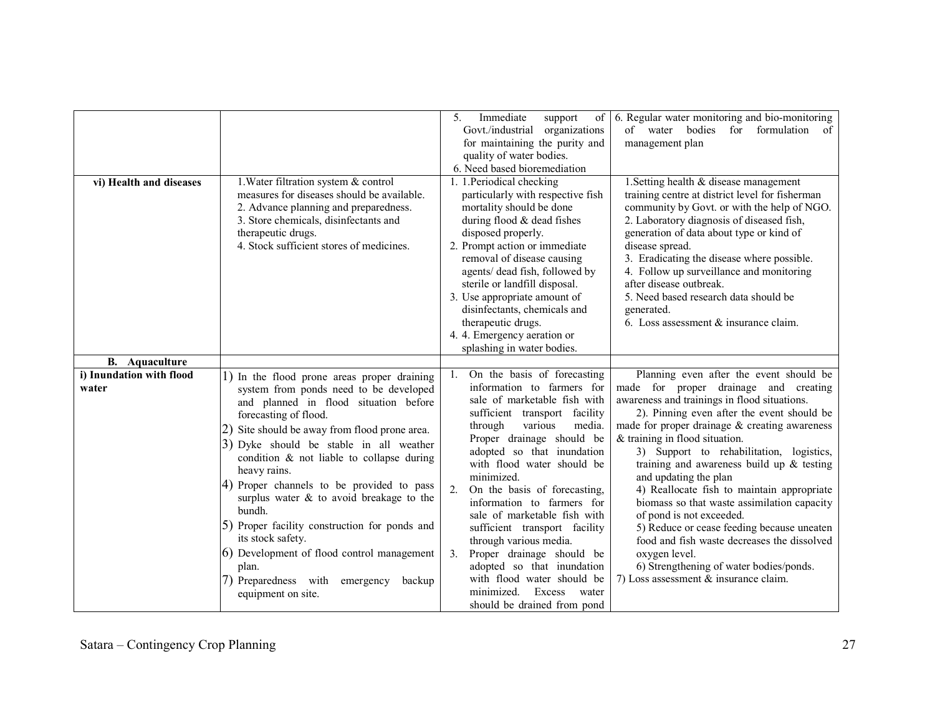| vi) Health and diseases<br><b>B.</b> Aquaculture | 1. Water filtration system & control<br>measures for diseases should be available.<br>2. Advance planning and preparedness.<br>3. Store chemicals, disinfectants and<br>therapeutic drugs.<br>4. Stock sufficient stores of medicines.                                                                                                                                                                                                                                                                                                                                                                                    | 5.<br>Immediate<br>support<br>of<br>Govt./industrial organizations<br>for maintaining the purity and<br>quality of water bodies.<br>6. Need based bioremediation<br>1. 1. Periodical checking<br>particularly with respective fish<br>mortality should be done<br>during flood $&$ dead fishes<br>disposed properly.<br>2. Prompt action or immediate<br>removal of disease causing<br>agents/ dead fish, followed by<br>sterile or landfill disposal.<br>3. Use appropriate amount of<br>disinfectants, chemicals and<br>therapeutic drugs.<br>4. 4. Emergency aeration or<br>splashing in water bodies. | 6. Regular water monitoring and bio-monitoring<br>of water bodies for formulation<br>of<br>management plan<br>1. Setting health & disease management<br>training centre at district level for fisherman<br>community by Govt. or with the help of NGO.<br>2. Laboratory diagnosis of diseased fish,<br>generation of data about type or kind of<br>disease spread.<br>3. Eradicating the disease where possible.<br>4. Follow up surveillance and monitoring<br>after disease outbreak.<br>5. Need based research data should be<br>generated.<br>6. Loss assessment & insurance claim.                                                                                                                               |
|--------------------------------------------------|---------------------------------------------------------------------------------------------------------------------------------------------------------------------------------------------------------------------------------------------------------------------------------------------------------------------------------------------------------------------------------------------------------------------------------------------------------------------------------------------------------------------------------------------------------------------------------------------------------------------------|-----------------------------------------------------------------------------------------------------------------------------------------------------------------------------------------------------------------------------------------------------------------------------------------------------------------------------------------------------------------------------------------------------------------------------------------------------------------------------------------------------------------------------------------------------------------------------------------------------------|-----------------------------------------------------------------------------------------------------------------------------------------------------------------------------------------------------------------------------------------------------------------------------------------------------------------------------------------------------------------------------------------------------------------------------------------------------------------------------------------------------------------------------------------------------------------------------------------------------------------------------------------------------------------------------------------------------------------------|
| i) Inundation with flood<br>water                | 1) In the flood prone areas proper draining<br>system from ponds need to be developed<br>and planned in flood situation before<br>forecasting of flood.<br>(2) Site should be away from flood prone area.<br>3) Dyke should be stable in all weather<br>condition & not liable to collapse during<br>heavy rains.<br>4) Proper channels to be provided to pass<br>surplus water $\&$ to avoid breakage to the<br>bundh.<br>(5) Proper facility construction for ponds and<br>its stock safety.<br>(6) Development of flood control management<br>plan.<br>(7) Preparedness with emergency<br>backup<br>equipment on site. | On the basis of forecasting<br>information to farmers for<br>sale of marketable fish with<br>sufficient transport facility<br>through<br>various<br>media.<br>Proper drainage should be<br>adopted so that inundation<br>with flood water should be<br>minimized.<br>2.<br>On the basis of forecasting,<br>information to farmers for<br>sale of marketable fish with<br>sufficient transport facility<br>through various media.<br>Proper drainage should be<br>3.<br>adopted so that inundation<br>with flood water should be<br>minimized.<br>Excess<br>water<br>should be drained from pond           | Planning even after the event should be<br>made for proper drainage and creating<br>awareness and trainings in flood situations.<br>2). Pinning even after the event should be<br>made for proper drainage $\&$ creating awareness<br>& training in flood situation.<br>3) Support to rehabilitation, logistics,<br>training and awareness build up $&$ testing<br>and updating the plan<br>4) Reallocate fish to maintain appropriate<br>biomass so that waste assimilation capacity<br>of pond is not exceeded.<br>5) Reduce or cease feeding because uneaten<br>food and fish waste decreases the dissolved<br>oxygen level.<br>6) Strengthening of water bodies/ponds.<br>7) Loss assessment $&$ insurance claim. |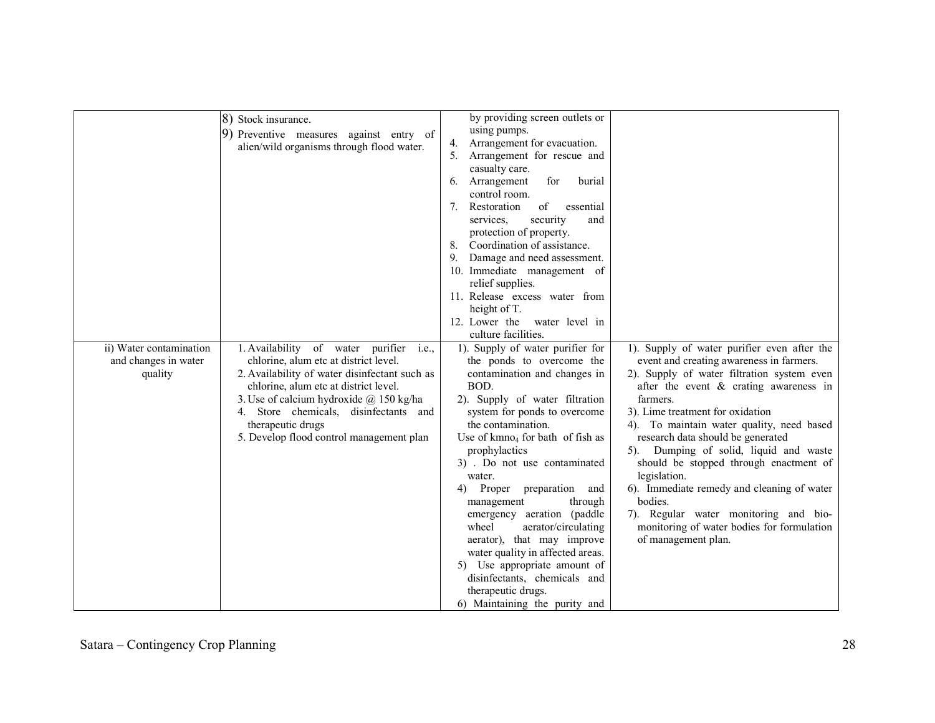|                         | 8) Stock insurance.                                                                     | by providing screen outlets or                                  |                                              |
|-------------------------|-----------------------------------------------------------------------------------------|-----------------------------------------------------------------|----------------------------------------------|
|                         | 9) Preventive measures against entry of                                                 | using pumps.<br>4.                                              |                                              |
|                         | alien/wild organisms through flood water.                                               | Arrangement for evacuation.<br>Arrangement for rescue and<br>5. |                                              |
|                         |                                                                                         | casualty care.                                                  |                                              |
|                         |                                                                                         | Arrangement<br>for<br>burial<br>6.                              |                                              |
|                         |                                                                                         | control room.                                                   |                                              |
|                         |                                                                                         | Restoration<br>of<br>7.<br>essential                            |                                              |
|                         |                                                                                         | security<br>services.<br>and                                    |                                              |
|                         |                                                                                         | protection of property.                                         |                                              |
|                         |                                                                                         | 8. Coordination of assistance.                                  |                                              |
|                         |                                                                                         | 9. Damage and need assessment.                                  |                                              |
|                         |                                                                                         | 10. Immediate management of                                     |                                              |
|                         |                                                                                         | relief supplies.                                                |                                              |
|                         |                                                                                         | 11. Release excess water from                                   |                                              |
|                         |                                                                                         | height of T.                                                    |                                              |
|                         |                                                                                         | 12. Lower the<br>water level in                                 |                                              |
|                         |                                                                                         | culture facilities.                                             |                                              |
| ii) Water contamination | 1. Availability of water purifier i.e.,                                                 | 1). Supply of water purifier for                                | 1). Supply of water purifier even after the  |
| and changes in water    | chlorine, alum etc at district level.                                                   | the ponds to overcome the                                       | event and creating awareness in farmers.     |
| quality                 | 2. Availability of water disinfectant such as                                           | contamination and changes in                                    | 2). Supply of water filtration system even   |
|                         | chlorine, alum etc at district level.                                                   | BOD.                                                            | after the event & crating awareness in       |
|                         | 3. Use of calcium hydroxide $\omega$ 150 kg/ha<br>4. Store chemicals, disinfectants and | 2). Supply of water filtration<br>system for ponds to overcome  | farmers.<br>3). Lime treatment for oxidation |
|                         | therapeutic drugs                                                                       | the contamination.                                              | 4). To maintain water quality, need based    |
|                         | 5. Develop flood control management plan                                                | Use of $kmno4$ for bath of fish as                              | research data should be generated            |
|                         |                                                                                         | prophylactics                                                   | 5). Dumping of solid, liquid and waste       |
|                         |                                                                                         | 3) . Do not use contaminated                                    | should be stopped through enactment of       |
|                         |                                                                                         | water.                                                          | legislation.                                 |
|                         |                                                                                         | Proper preparation and<br>4)                                    | 6). Immediate remedy and cleaning of water   |
|                         |                                                                                         | management<br>through                                           | bodies.                                      |
|                         |                                                                                         | emergency aeration (paddle                                      | 7). Regular water monitoring and bio-        |
|                         |                                                                                         | wheel<br>aerator/circulating                                    | monitoring of water bodies for formulation   |
|                         |                                                                                         | aerator), that may improve                                      | of management plan.                          |
|                         |                                                                                         | water quality in affected areas.                                |                                              |
|                         |                                                                                         | 5) Use appropriate amount of                                    |                                              |
|                         |                                                                                         | disinfectants, chemicals and                                    |                                              |
|                         |                                                                                         | therapeutic drugs.                                              |                                              |
|                         |                                                                                         | 6) Maintaining the purity and                                   |                                              |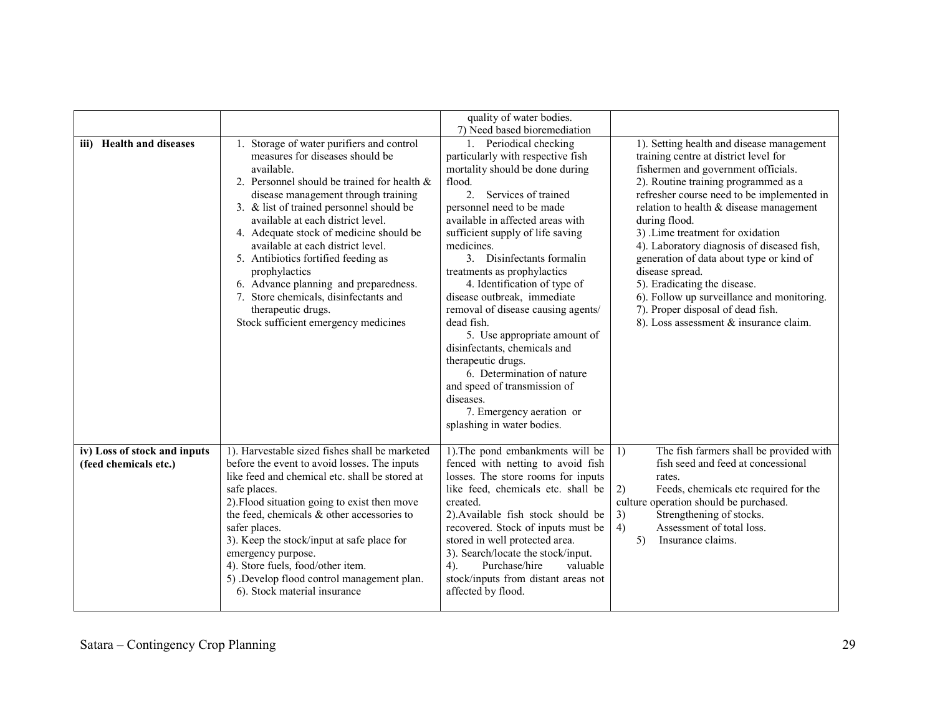|                                                       |                                                                                                                                                                                                                                                                                                                                                                                                                                                                                                                                                              | quality of water bodies.                                                                                                                                                                                                                                                                                                                                                                                                                                                                                                                                                                                                                                                                                       |                                                                                                                                                                                                                                                                                                                                                                                                                                                                                                                                                                                             |
|-------------------------------------------------------|--------------------------------------------------------------------------------------------------------------------------------------------------------------------------------------------------------------------------------------------------------------------------------------------------------------------------------------------------------------------------------------------------------------------------------------------------------------------------------------------------------------------------------------------------------------|----------------------------------------------------------------------------------------------------------------------------------------------------------------------------------------------------------------------------------------------------------------------------------------------------------------------------------------------------------------------------------------------------------------------------------------------------------------------------------------------------------------------------------------------------------------------------------------------------------------------------------------------------------------------------------------------------------------|---------------------------------------------------------------------------------------------------------------------------------------------------------------------------------------------------------------------------------------------------------------------------------------------------------------------------------------------------------------------------------------------------------------------------------------------------------------------------------------------------------------------------------------------------------------------------------------------|
| iii) Health and diseases                              | 1. Storage of water purifiers and control<br>measures for diseases should be<br>available.<br>2. Personnel should be trained for health $\&$<br>disease management through training<br>3. & list of trained personnel should be<br>available at each district level.<br>4. Adequate stock of medicine should be<br>available at each district level.<br>5. Antibiotics fortified feeding as<br>prophylactics<br>6. Advance planning and preparedness.<br>7. Store chemicals, disinfectants and<br>therapeutic drugs.<br>Stock sufficient emergency medicines | 7) Need based bioremediation<br>1. Periodical checking<br>particularly with respective fish<br>mortality should be done during<br>flood.<br>Services of trained<br>2 <sub>1</sub><br>personnel need to be made<br>available in affected areas with<br>sufficient supply of life saving<br>medicines.<br>3. Disinfectants formalin<br>treatments as prophylactics<br>4. Identification of type of<br>disease outbreak, immediate<br>removal of disease causing agents/<br>dead fish.<br>5. Use appropriate amount of<br>disinfectants, chemicals and<br>therapeutic drugs.<br>6. Determination of nature<br>and speed of transmission of<br>diseases.<br>7. Emergency aeration or<br>splashing in water bodies. | 1). Setting health and disease management<br>training centre at district level for<br>fishermen and government officials.<br>2). Routine training programmed as a<br>refresher course need to be implemented in<br>relation to health $&$ disease management<br>during flood.<br>3) .Lime treatment for oxidation<br>4). Laboratory diagnosis of diseased fish,<br>generation of data about type or kind of<br>disease spread.<br>5). Eradicating the disease.<br>6). Follow up surveillance and monitoring.<br>7). Proper disposal of dead fish.<br>8). Loss assessment & insurance claim. |
| iv) Loss of stock and inputs<br>(feed chemicals etc.) | 1). Harvestable sized fishes shall be marketed<br>before the event to avoid losses. The inputs<br>like feed and chemical etc. shall be stored at<br>safe places.<br>2). Flood situation going to exist then move<br>the feed, chemicals & other accessories to<br>safer places.<br>3). Keep the stock/input at safe place for<br>emergency purpose.<br>4). Store fuels, food/other item.<br>5) .Develop flood control management plan.<br>6). Stock material insurance                                                                                       | 1). The pond embankments will be<br>fenced with netting to avoid fish<br>losses. The store rooms for inputs<br>like feed, chemicals etc. shall be<br>created.<br>2). Available fish stock should be<br>recovered. Stock of inputs must be<br>stored in well protected area.<br>3). Search/locate the stock/input.<br>Purchase/hire<br>valuable<br>4).<br>stock/inputs from distant areas not<br>affected by flood.                                                                                                                                                                                                                                                                                             | 1)<br>The fish farmers shall be provided with<br>fish seed and feed at concessional<br>rates.<br>2)<br>Feeds, chemicals etc required for the<br>culture operation should be purchased.<br>Strengthening of stocks.<br>3)<br>Assessment of total loss.<br>4)<br>5)<br>Insurance claims.                                                                                                                                                                                                                                                                                                      |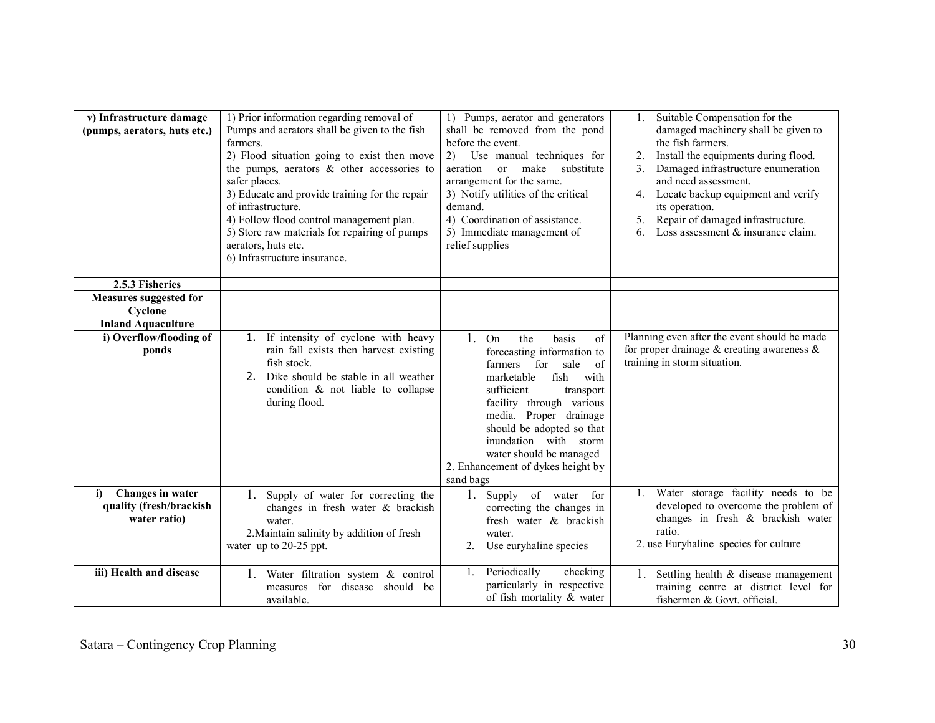| v) Infrastructure damage<br>(pumps, aerators, huts etc.)          | 1) Prior information regarding removal of<br>Pumps and aerators shall be given to the fish<br>farmers.<br>2) Flood situation going to exist then move<br>the pumps, aerators $\&$ other accessories to<br>safer places.<br>3) Educate and provide training for the repair<br>of infrastructure.<br>4) Follow flood control management plan.<br>5) Store raw materials for repairing of pumps<br>aerators, huts etc.<br>6) Infrastructure insurance. | 1) Pumps, aerator and generators<br>shall be removed from the pond<br>before the event.<br>Use manual techniques for<br>(2)<br>make<br>substitute<br>aeration<br><sub>or</sub><br>arrangement for the same.<br>3) Notify utilities of the critical<br>demand.<br>4) Coordination of assistance.<br>5) Immediate management of<br>relief supplies | Suitable Compensation for the<br>1.<br>damaged machinery shall be given to<br>the fish farmers.<br>Install the equipments during flood.<br>2.<br>Damaged infrastructure enumeration<br>3 <sub>1</sub><br>and need assessment.<br>Locate backup equipment and verify<br>4.<br>its operation.<br>Repair of damaged infrastructure.<br>5.<br>Loss assessment $&$ insurance claim.<br>6 |
|-------------------------------------------------------------------|-----------------------------------------------------------------------------------------------------------------------------------------------------------------------------------------------------------------------------------------------------------------------------------------------------------------------------------------------------------------------------------------------------------------------------------------------------|--------------------------------------------------------------------------------------------------------------------------------------------------------------------------------------------------------------------------------------------------------------------------------------------------------------------------------------------------|-------------------------------------------------------------------------------------------------------------------------------------------------------------------------------------------------------------------------------------------------------------------------------------------------------------------------------------------------------------------------------------|
| 2.5.3 Fisheries                                                   |                                                                                                                                                                                                                                                                                                                                                                                                                                                     |                                                                                                                                                                                                                                                                                                                                                  |                                                                                                                                                                                                                                                                                                                                                                                     |
| <b>Measures suggested for</b>                                     |                                                                                                                                                                                                                                                                                                                                                                                                                                                     |                                                                                                                                                                                                                                                                                                                                                  |                                                                                                                                                                                                                                                                                                                                                                                     |
| Cyclone<br><b>Inland Aquaculture</b>                              |                                                                                                                                                                                                                                                                                                                                                                                                                                                     |                                                                                                                                                                                                                                                                                                                                                  |                                                                                                                                                                                                                                                                                                                                                                                     |
| i) Overflow/flooding of                                           | 1. If intensity of cyclone with heavy                                                                                                                                                                                                                                                                                                                                                                                                               | $1_{\cdot}$<br>of<br>On<br>the<br>basis                                                                                                                                                                                                                                                                                                          | Planning even after the event should be made                                                                                                                                                                                                                                                                                                                                        |
| ponds                                                             | rain fall exists then harvest existing<br>fish stock.<br>Dike should be stable in all weather<br>2.<br>condition & not liable to collapse<br>during flood.                                                                                                                                                                                                                                                                                          | forecasting information to<br>farmers for<br>sale<br>of<br>fish<br>with<br>marketable<br>sufficient<br>transport<br>facility through various<br>media. Proper drainage<br>should be adopted so that<br>inundation with storm<br>water should be managed<br>2. Enhancement of dykes height by<br>sand bags                                        | for proper drainage $\&$ creating awareness $\&$<br>training in storm situation.                                                                                                                                                                                                                                                                                                    |
| Changes in water<br>i)<br>quality (fresh/brackish<br>water ratio) | 1. Supply of water for correcting the<br>changes in fresh water & brackish<br>water.<br>2. Maintain salinity by addition of fresh<br>water up to 20-25 ppt.                                                                                                                                                                                                                                                                                         | 1. Supply of water<br>for<br>correcting the changes in<br>fresh water & brackish<br>water.<br>Use euryhaline species<br>2 <sub>1</sub>                                                                                                                                                                                                           | Water storage facility needs to be<br>$1_{-}$<br>developed to overcome the problem of<br>changes in fresh & brackish water<br>ratio.<br>2. use Euryhaline species for culture                                                                                                                                                                                                       |
| iii) Health and disease                                           | 1. Water filtration system & control<br>measures for disease should be<br>available.                                                                                                                                                                                                                                                                                                                                                                | Periodically<br>checking<br>1.<br>particularly in respective<br>of fish mortality & water                                                                                                                                                                                                                                                        | 1.<br>Settling health & disease management<br>training centre at district level for<br>fishermen & Govt. official.                                                                                                                                                                                                                                                                  |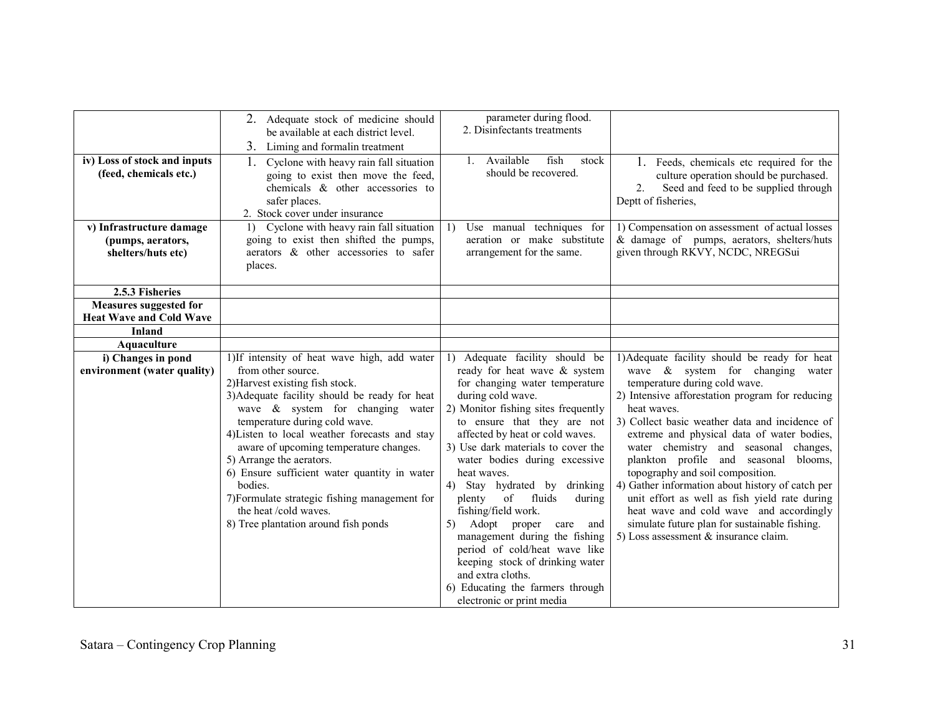| iv) Loss of stock and inputs<br>(feed, chemicals etc.)<br>v) Infrastructure damage<br>(pumps, aerators,<br>shelters/huts etc) | 2. Adequate stock of medicine should<br>be available at each district level.<br>3. Liming and formalin treatment<br>Cyclone with heavy rain fall situation<br>1.<br>going to exist then move the feed,<br>chemicals & other accessories to<br>safer places.<br>2. Stock cover under insurance<br>1) Cyclone with heavy rain fall situation<br>going to exist then shifted the pumps,<br>aerators & other accessories to safer<br>places.                                                                                          | parameter during flood.<br>2. Disinfectants treatments<br>1. Available<br>fish<br>stock<br>should be recovered.<br>Use manual techniques for<br>1)<br>aeration or make substitute<br>arrangement for the same.                                                                                                                                                                                                                                                                                                                                                                                                                                  | 1. Feeds, chemicals etc required for the<br>culture operation should be purchased.<br>Seed and feed to be supplied through<br>2.<br>Deptt of fisheries,<br>1) Compensation on assessment of actual losses<br>& damage of pumps, aerators, shelters/huts<br>given through RKVY, NCDC, NREGSui                                                                                                                                                                                                                                                                                                                                                               |
|-------------------------------------------------------------------------------------------------------------------------------|-----------------------------------------------------------------------------------------------------------------------------------------------------------------------------------------------------------------------------------------------------------------------------------------------------------------------------------------------------------------------------------------------------------------------------------------------------------------------------------------------------------------------------------|-------------------------------------------------------------------------------------------------------------------------------------------------------------------------------------------------------------------------------------------------------------------------------------------------------------------------------------------------------------------------------------------------------------------------------------------------------------------------------------------------------------------------------------------------------------------------------------------------------------------------------------------------|------------------------------------------------------------------------------------------------------------------------------------------------------------------------------------------------------------------------------------------------------------------------------------------------------------------------------------------------------------------------------------------------------------------------------------------------------------------------------------------------------------------------------------------------------------------------------------------------------------------------------------------------------------|
| 2.5.3 Fisheries                                                                                                               |                                                                                                                                                                                                                                                                                                                                                                                                                                                                                                                                   |                                                                                                                                                                                                                                                                                                                                                                                                                                                                                                                                                                                                                                                 |                                                                                                                                                                                                                                                                                                                                                                                                                                                                                                                                                                                                                                                            |
| <b>Measures suggested for</b><br><b>Heat Wave and Cold Wave</b>                                                               |                                                                                                                                                                                                                                                                                                                                                                                                                                                                                                                                   |                                                                                                                                                                                                                                                                                                                                                                                                                                                                                                                                                                                                                                                 |                                                                                                                                                                                                                                                                                                                                                                                                                                                                                                                                                                                                                                                            |
| <b>Inland</b>                                                                                                                 |                                                                                                                                                                                                                                                                                                                                                                                                                                                                                                                                   |                                                                                                                                                                                                                                                                                                                                                                                                                                                                                                                                                                                                                                                 |                                                                                                                                                                                                                                                                                                                                                                                                                                                                                                                                                                                                                                                            |
| Aquaculture                                                                                                                   |                                                                                                                                                                                                                                                                                                                                                                                                                                                                                                                                   |                                                                                                                                                                                                                                                                                                                                                                                                                                                                                                                                                                                                                                                 |                                                                                                                                                                                                                                                                                                                                                                                                                                                                                                                                                                                                                                                            |
| i) Changes in pond<br>environment (water quality)                                                                             | 1)If intensity of heat wave high, add water<br>from other source.<br>2) Harvest existing fish stock.<br>3) Adequate facility should be ready for heat<br>wave $\&$ system for changing water<br>temperature during cold wave.<br>4) Listen to local weather forecasts and stay<br>aware of upcoming temperature changes.<br>5) Arrange the aerators.<br>6) Ensure sufficient water quantity in water<br>bodies.<br>7) Formulate strategic fishing management for<br>the heat /cold waves.<br>8) Tree plantation around fish ponds | 1) Adequate facility should be<br>ready for heat wave & system<br>for changing water temperature<br>during cold wave.<br>2) Monitor fishing sites frequently<br>to ensure that they are not<br>affected by heat or cold waves.<br>3) Use dark materials to cover the<br>water bodies during excessive<br>heat waves.<br>4) Stay hydrated by drinking<br>fluids<br>plenty<br>of<br>during<br>fishing/field work.<br>Adopt proper<br>5)<br>care<br>and<br>management during the fishing<br>period of cold/heat wave like<br>keeping stock of drinking water<br>and extra cloths.<br>6) Educating the farmers through<br>electronic or print media | 1) Adequate facility should be ready for heat<br>wave $\&$ system for changing water<br>temperature during cold wave.<br>2) Intensive afforestation program for reducing<br>heat waves.<br>3) Collect basic weather data and incidence of<br>extreme and physical data of water bodies,<br>water chemistry and seasonal changes,<br>plankton profile and seasonal blooms,<br>topography and soil composition.<br>4) Gather information about history of catch per<br>unit effort as well as fish yield rate during<br>heat wave and cold wave and accordingly<br>simulate future plan for sustainable fishing.<br>5) Loss assessment $\&$ insurance claim. |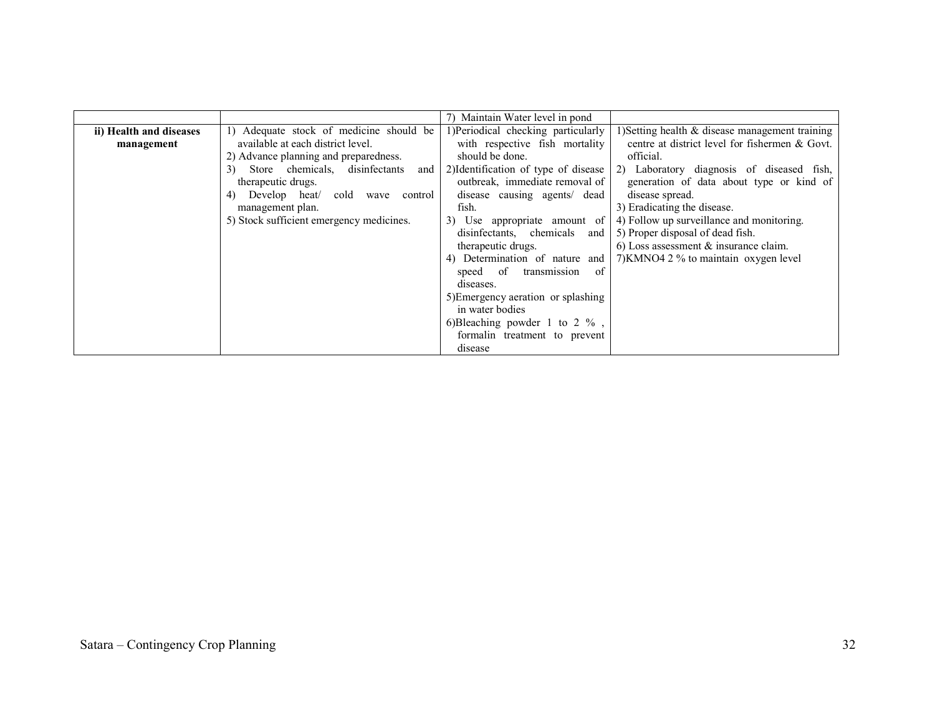|                         |                                             | 7) Maintain Water level in pond      |                                                 |
|-------------------------|---------------------------------------------|--------------------------------------|-------------------------------------------------|
| ii) Health and diseases | 1) Adequate stock of medicine should be     | 1)Periodical checking particularly   | 1) Setting health & disease management training |
| management              | available at each district level.           | with respective fish mortality       | centre at district level for fishermen & Govt.  |
|                         | 2) Advance planning and preparedness.       | should be done.                      | official.                                       |
|                         | Store chemicals, disinfectants<br>3)<br>and | 2) Identification of type of disease | 2) Laboratory diagnosis of diseased fish,       |
|                         | therapeutic drugs.                          | outbreak, immediate removal of       | generation of data about type or kind of        |
|                         | Develop heat/<br>cold<br>4)<br>wave control | disease causing agents dead          | disease spread.                                 |
|                         | management plan.                            | fish.                                | 3) Eradicating the disease.                     |
|                         | 5) Stock sufficient emergency medicines.    | 3) Use appropriate amount of         | 4) Follow up surveillance and monitoring.       |
|                         |                                             | disinfectants, chemicals and         | 5) Proper disposal of dead fish.                |
|                         |                                             | therapeutic drugs.                   | 6) Loss assessment $\&$ insurance claim.        |
|                         |                                             | 4) Determination of nature and       | 7) KMNO4 2 % to maintain oxygen level           |
|                         |                                             | speed of transmission<br>-of         |                                                 |
|                         |                                             | diseases.                            |                                                 |
|                         |                                             | 5) Emergency aeration or splashing   |                                                 |
|                         |                                             | in water bodies                      |                                                 |
|                         |                                             | 6)Bleaching powder 1 to 2 $\%$ ,     |                                                 |
|                         |                                             | formalin treatment to prevent        |                                                 |
|                         |                                             | disease                              |                                                 |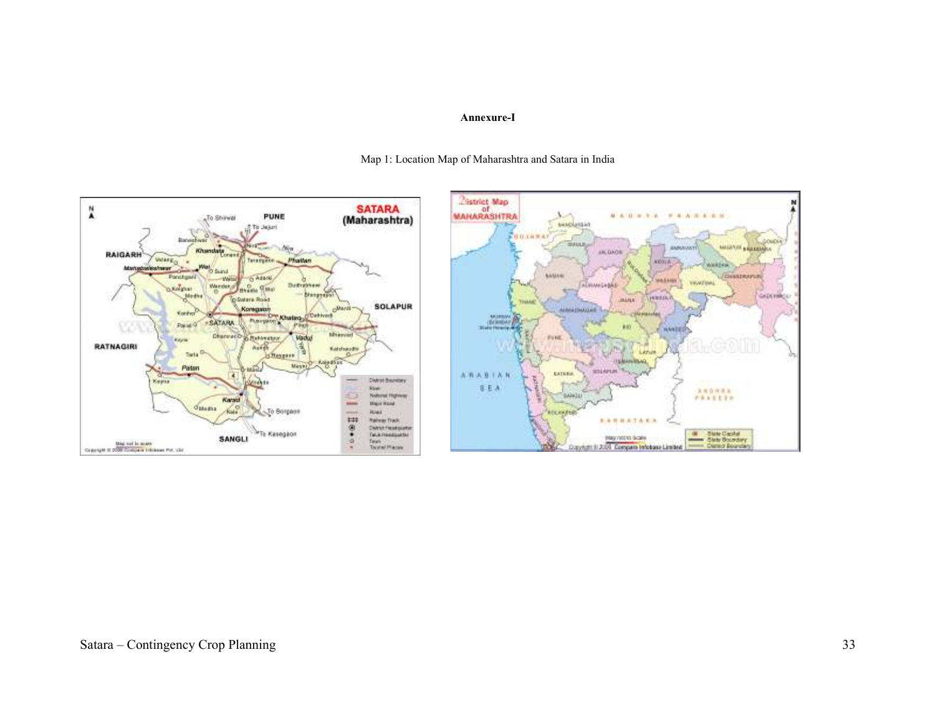#### Annexure-I



Map 1: Location Map of Maharashtra and Satara in India